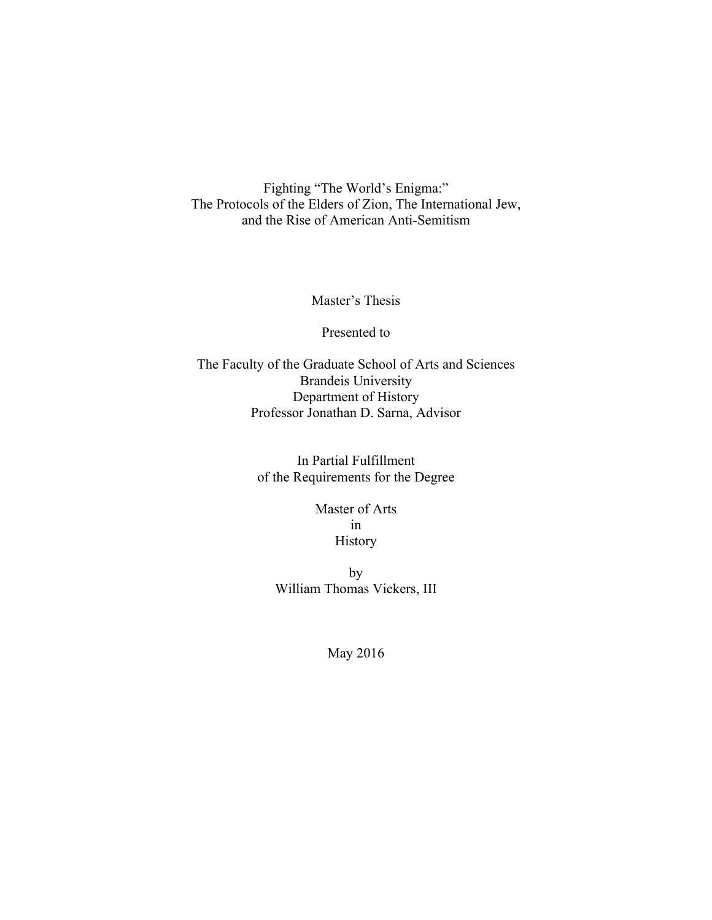Fighting "The World's Enigma:" The Protocols of the Elders of Zion, The International Jew, and the Rise of American Anti-Semitism

Master's Thesis

Presented to

The Faculty of the Graduate School of Arts and Sciences Brandeis University Department of History Professor Jonathan D. Sarna, Advisor

> In Partial Fulfillment of the Requirements for the Degree

> > Master of Arts in History

by William Thomas Vickers, III

May 2016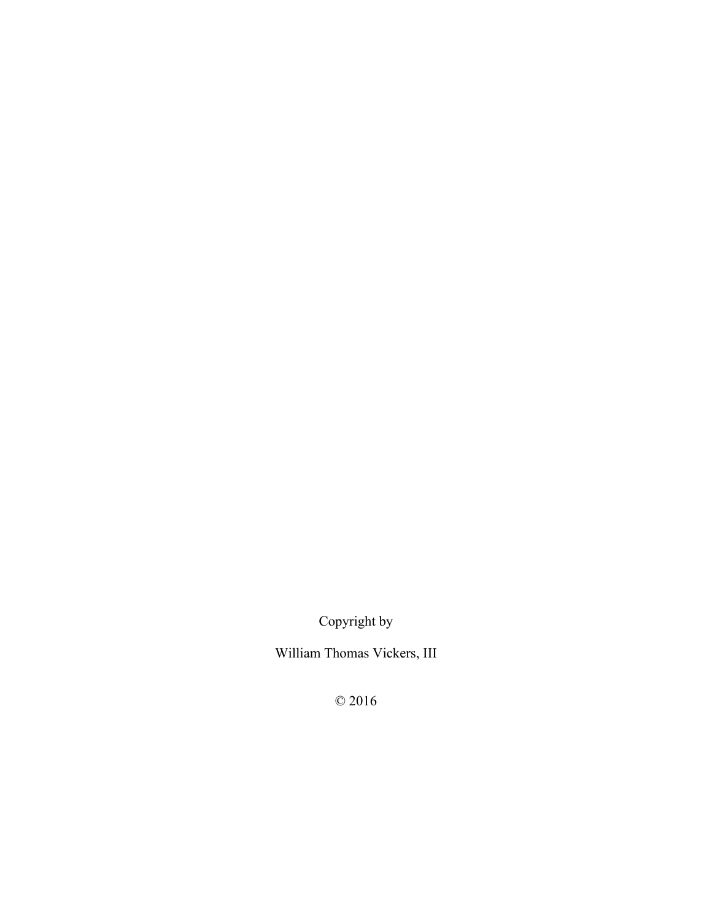Copyright by

William Thomas Vickers, III

© 2016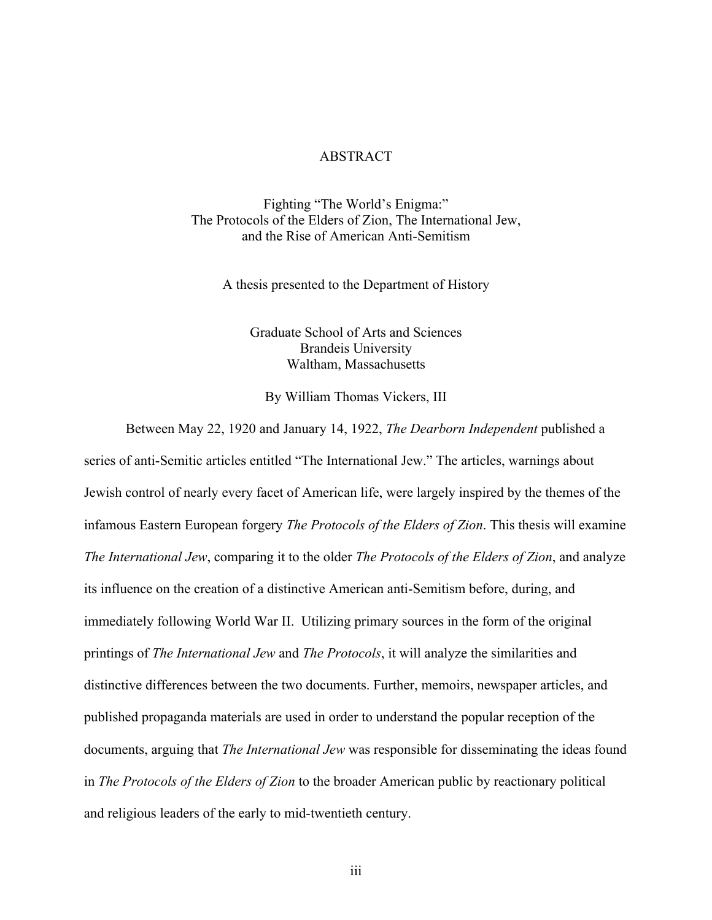### ABSTRACT

Fighting "The World's Enigma:" The Protocols of the Elders of Zion, The International Jew, and the Rise of American Anti-Semitism

A thesis presented to the Department of History

Graduate School of Arts and Sciences Brandeis University Waltham, Massachusetts

By William Thomas Vickers, III

Between May 22, 1920 and January 14, 1922, *The Dearborn Independent* published a series of anti-Semitic articles entitled "The International Jew." The articles, warnings about Jewish control of nearly every facet of American life, were largely inspired by the themes of the infamous Eastern European forgery *The Protocols of the Elders of Zion*. This thesis will examine *The International Jew*, comparing it to the older *The Protocols of the Elders of Zion*, and analyze its influence on the creation of a distinctive American anti-Semitism before, during, and immediately following World War II. Utilizing primary sources in the form of the original printings of *The International Jew* and *The Protocols*, it will analyze the similarities and distinctive differences between the two documents. Further, memoirs, newspaper articles, and published propaganda materials are used in order to understand the popular reception of the documents, arguing that *The International Jew* was responsible for disseminating the ideas found in *The Protocols of the Elders of Zion* to the broader American public by reactionary political and religious leaders of the early to mid-twentieth century.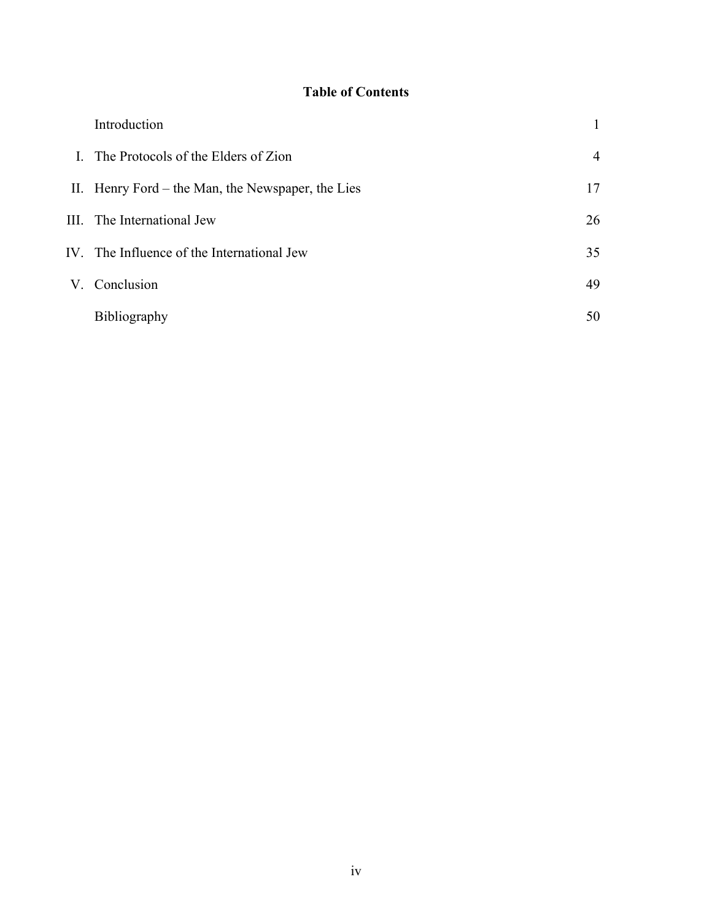# **Table of Contents**

| Introduction                                      |                |
|---------------------------------------------------|----------------|
| I. The Protocols of the Elders of Zion            | $\overline{4}$ |
| II. Henry Ford – the Man, the Newspaper, the Lies | 17             |
| III. The International Jew                        | 26             |
| IV. The Influence of the International Jew        | 35             |
| V. Conclusion                                     | 49             |
| <b>Bibliography</b>                               | 50             |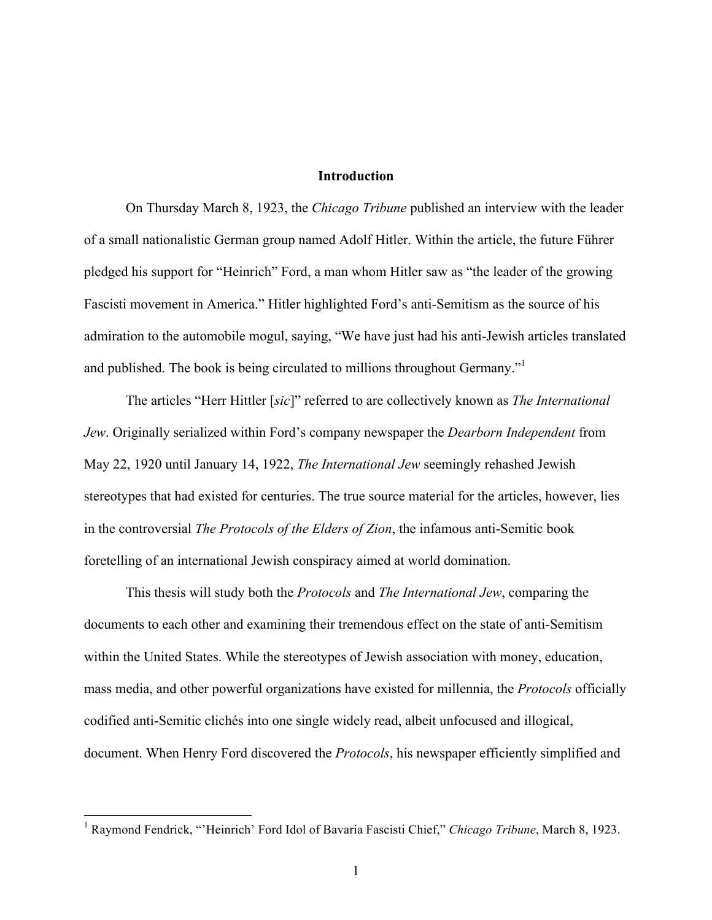# **Introduction**

On Thursday March 8, 1923, the *Chicago Tribune* published an interview with the leader of a small nationalistic German group named Adolf Hitler. Within the article, the future Führer pledged his support for "Heinrich" Ford, a man whom Hitler saw as "the leader of the growing Fascisti movement in America." Hitler highlighted Ford's anti-Semitism as the source of his admiration to the automobile mogul, saying, "We have just had his anti-Jewish articles translated and published. The book is being circulated to millions throughout Germany.<sup>"1</sup>

The articles "Herr Hittler [*sic*]" referred to are collectively known as *The International Jew*. Originally serialized within Ford's company newspaper the *Dearborn Independent* from May 22, 1920 until January 14, 1922, *The International Jew* seemingly rehashed Jewish stereotypes that had existed for centuries. The true source material for the articles, however, lies in the controversial *The Protocols of the Elders of Zion*, the infamous anti-Semitic book foretelling of an international Jewish conspiracy aimed at world domination.

This thesis will study both the *Protocols* and *The International Jew*, comparing the documents to each other and examining their tremendous effect on the state of anti-Semitism within the United States. While the stereotypes of Jewish association with money, education, mass media, and other powerful organizations have existed for millennia, the *Protocols* officially codified anti-Semitic clichés into one single widely read, albeit unfocused and illogical, document. When Henry Ford discovered the *Protocols*, his newspaper efficiently simplified and

 <sup>1</sup> Raymond Fendrick, "'Heinrich' Ford Idol of Bavaria Fascisti Chief," *Chicago Tribune*, March 8, 1923.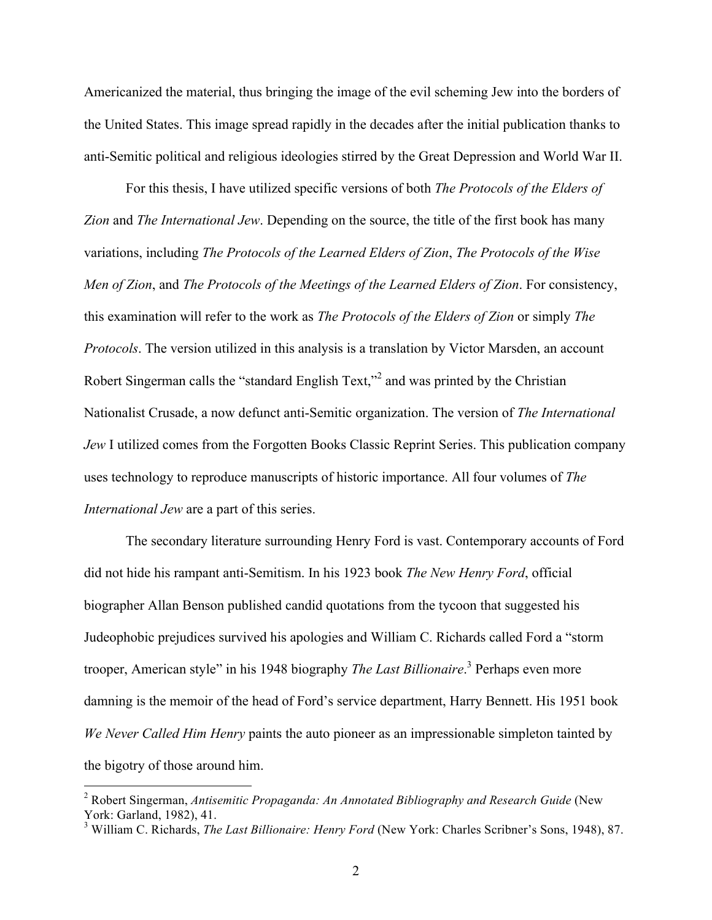Americanized the material, thus bringing the image of the evil scheming Jew into the borders of the United States. This image spread rapidly in the decades after the initial publication thanks to anti-Semitic political and religious ideologies stirred by the Great Depression and World War II.

For this thesis, I have utilized specific versions of both *The Protocols of the Elders of Zion* and *The International Jew*. Depending on the source, the title of the first book has many variations, including *The Protocols of the Learned Elders of Zion*, *The Protocols of the Wise Men of Zion*, and *The Protocols of the Meetings of the Learned Elders of Zion*. For consistency, this examination will refer to the work as *The Protocols of the Elders of Zion* or simply *The Protocols*. The version utilized in this analysis is a translation by Victor Marsden, an account Robert Singerman calls the "standard English Text,"2 and was printed by the Christian Nationalist Crusade, a now defunct anti-Semitic organization. The version of *The International Jew* I utilized comes from the Forgotten Books Classic Reprint Series. This publication company uses technology to reproduce manuscripts of historic importance. All four volumes of *The International Jew* are a part of this series.

The secondary literature surrounding Henry Ford is vast. Contemporary accounts of Ford did not hide his rampant anti-Semitism. In his 1923 book *The New Henry Ford*, official biographer Allan Benson published candid quotations from the tycoon that suggested his Judeophobic prejudices survived his apologies and William C. Richards called Ford a "storm trooper, American style" in his 1948 biography *The Last Billionaire*. <sup>3</sup> Perhaps even more damning is the memoir of the head of Ford's service department, Harry Bennett. His 1951 book *We Never Called Him Henry* paints the auto pioneer as an impressionable simpleton tainted by the bigotry of those around him.

 <sup>2</sup> Robert Singerman, *Antisemitic Propaganda: An Annotated Bibliography and Research Guide* (New York: Garland, 1982), 41.

<sup>3</sup> William C. Richards, *The Last Billionaire: Henry Ford* (New York: Charles Scribner's Sons, 1948), 87.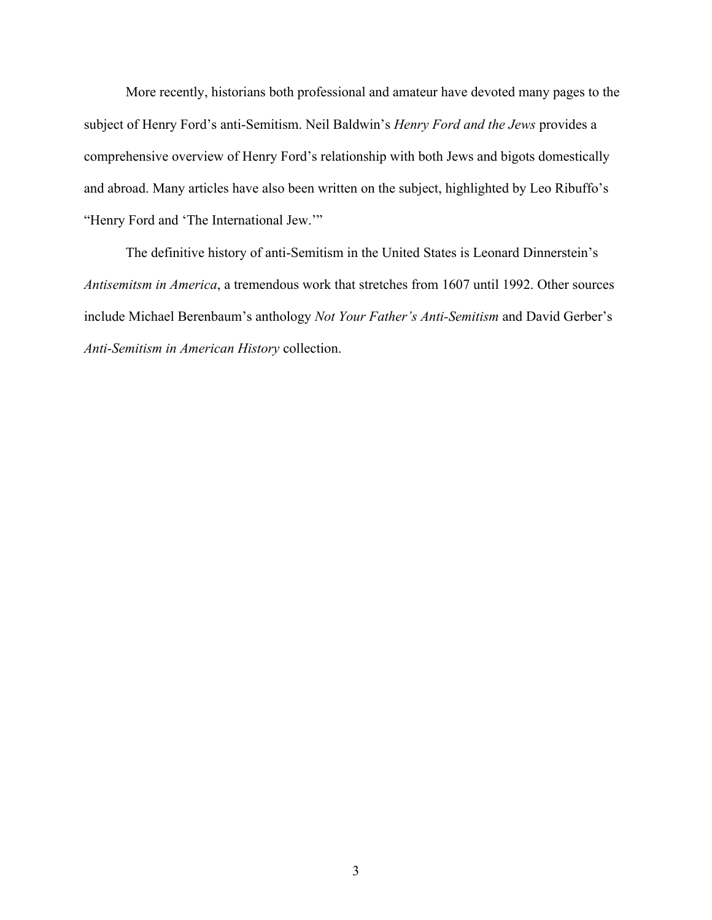More recently, historians both professional and amateur have devoted many pages to the subject of Henry Ford's anti-Semitism. Neil Baldwin's *Henry Ford and the Jews* provides a comprehensive overview of Henry Ford's relationship with both Jews and bigots domestically and abroad. Many articles have also been written on the subject, highlighted by Leo Ribuffo's "Henry Ford and 'The International Jew.'"

The definitive history of anti-Semitism in the United States is Leonard Dinnerstein's *Antisemitsm in America*, a tremendous work that stretches from 1607 until 1992. Other sources include Michael Berenbaum's anthology *Not Your Father's Anti-Semitism* and David Gerber's *Anti-Semitism in American History* collection.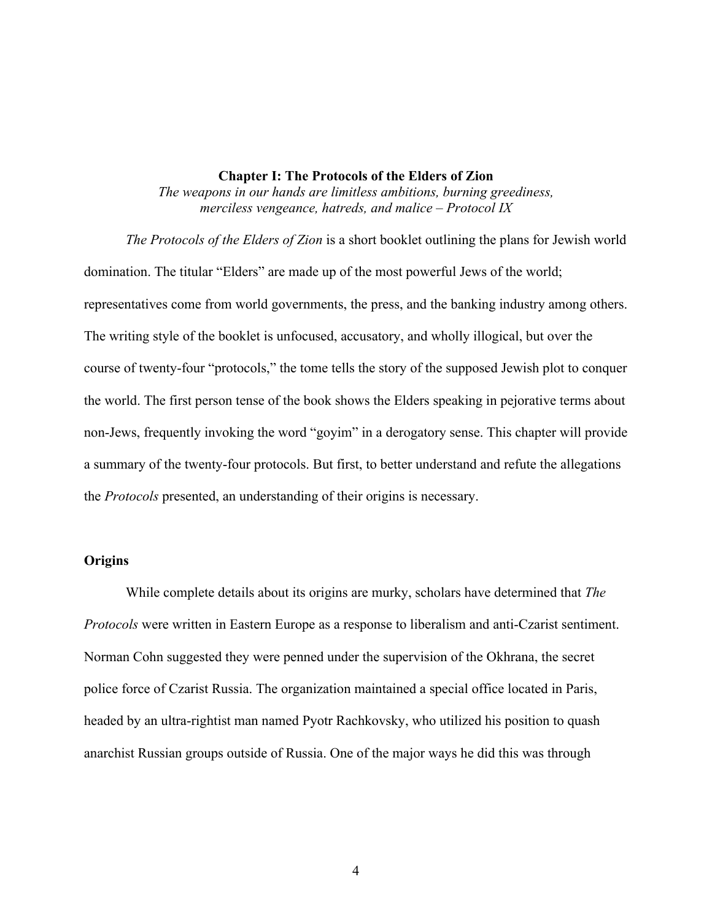#### **Chapter I: The Protocols of the Elders of Zion**

*The weapons in our hands are limitless ambitions, burning greediness, merciless vengeance, hatreds, and malice – Protocol IX*

*The Protocols of the Elders of Zion* is a short booklet outlining the plans for Jewish world domination. The titular "Elders" are made up of the most powerful Jews of the world; representatives come from world governments, the press, and the banking industry among others. The writing style of the booklet is unfocused, accusatory, and wholly illogical, but over the course of twenty-four "protocols," the tome tells the story of the supposed Jewish plot to conquer the world. The first person tense of the book shows the Elders speaking in pejorative terms about non-Jews, frequently invoking the word "goyim" in a derogatory sense. This chapter will provide a summary of the twenty-four protocols. But first, to better understand and refute the allegations the *Protocols* presented, an understanding of their origins is necessary.

#### **Origins**

While complete details about its origins are murky, scholars have determined that *The Protocols* were written in Eastern Europe as a response to liberalism and anti-Czarist sentiment. Norman Cohn suggested they were penned under the supervision of the Okhrana, the secret police force of Czarist Russia. The organization maintained a special office located in Paris, headed by an ultra-rightist man named Pyotr Rachkovsky, who utilized his position to quash anarchist Russian groups outside of Russia. One of the major ways he did this was through

4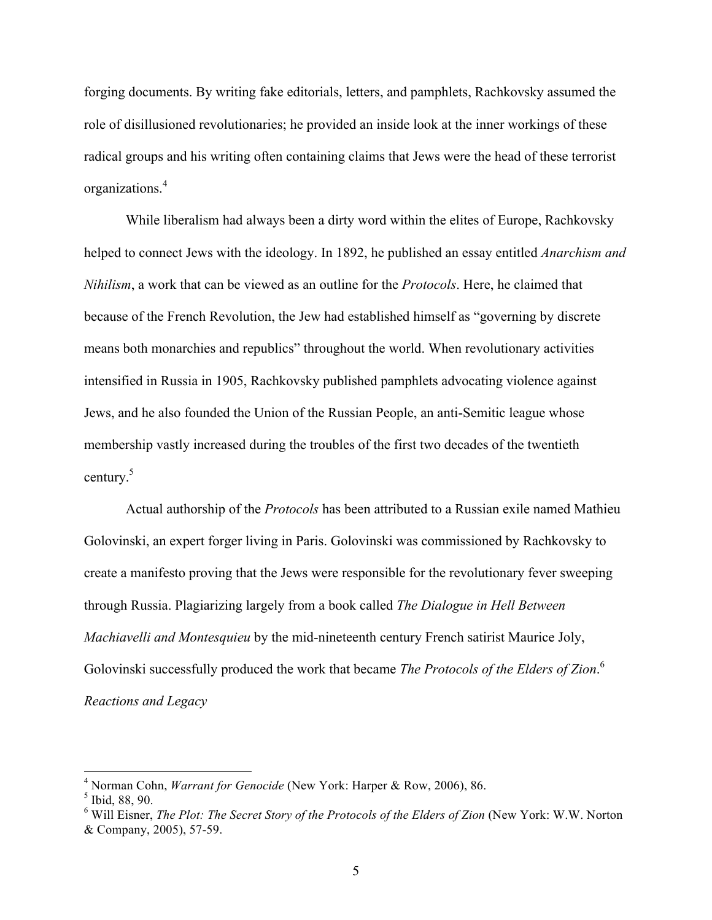forging documents. By writing fake editorials, letters, and pamphlets, Rachkovsky assumed the role of disillusioned revolutionaries; he provided an inside look at the inner workings of these radical groups and his writing often containing claims that Jews were the head of these terrorist organizations.<sup>4</sup>

While liberalism had always been a dirty word within the elites of Europe, Rachkovsky helped to connect Jews with the ideology. In 1892, he published an essay entitled *Anarchism and Nihilism*, a work that can be viewed as an outline for the *Protocols*. Here, he claimed that because of the French Revolution, the Jew had established himself as "governing by discrete means both monarchies and republics" throughout the world. When revolutionary activities intensified in Russia in 1905, Rachkovsky published pamphlets advocating violence against Jews, and he also founded the Union of the Russian People, an anti-Semitic league whose membership vastly increased during the troubles of the first two decades of the twentieth century.<sup>5</sup>

Actual authorship of the *Protocols* has been attributed to a Russian exile named Mathieu Golovinski, an expert forger living in Paris. Golovinski was commissioned by Rachkovsky to create a manifesto proving that the Jews were responsible for the revolutionary fever sweeping through Russia. Plagiarizing largely from a book called *The Dialogue in Hell Between Machiavelli and Montesquieu* by the mid-nineteenth century French satirist Maurice Joly, Golovinski successfully produced the work that became *The Protocols of the Elders of Zion*. 6 *Reactions and Legacy*

 <sup>4</sup> Norman Cohn, *Warrant for Genocide* (New York: Harper & Row, 2006), 86.

<sup>5</sup> Ibid, 88, 90.

<sup>6</sup> Will Eisner, *The Plot: The Secret Story of the Protocols of the Elders of Zion* (New York: W.W. Norton & Company, 2005), 57-59.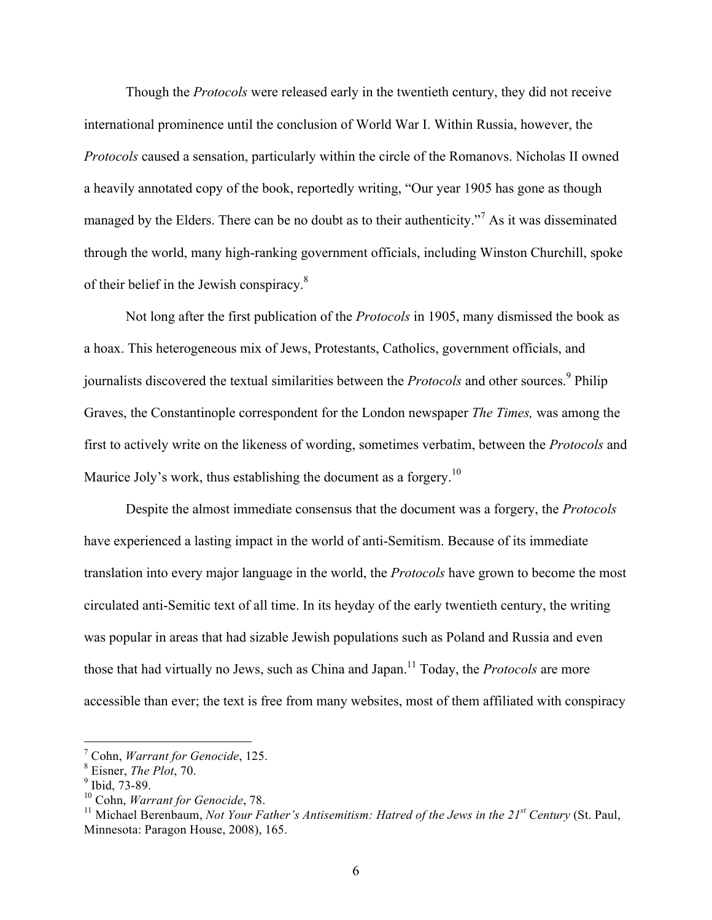Though the *Protocols* were released early in the twentieth century, they did not receive international prominence until the conclusion of World War I. Within Russia, however, the *Protocols* caused a sensation, particularly within the circle of the Romanovs. Nicholas II owned a heavily annotated copy of the book, reportedly writing, "Our year 1905 has gone as though managed by the Elders. There can be no doubt as to their authenticity."<sup>7</sup> As it was disseminated through the world, many high-ranking government officials, including Winston Churchill, spoke of their belief in the Jewish conspiracy.8

Not long after the first publication of the *Protocols* in 1905, many dismissed the book as a hoax. This heterogeneous mix of Jews, Protestants, Catholics, government officials, and journalists discovered the textual similarities between the *Protocols* and other sources.<sup>9</sup> Philip Graves, the Constantinople correspondent for the London newspaper *The Times,* was among the first to actively write on the likeness of wording, sometimes verbatim, between the *Protocols* and Maurice Joly's work, thus establishing the document as a forgery.<sup>10</sup>

Despite the almost immediate consensus that the document was a forgery, the *Protocols* have experienced a lasting impact in the world of anti-Semitism. Because of its immediate translation into every major language in the world, the *Protocols* have grown to become the most circulated anti-Semitic text of all time. In its heyday of the early twentieth century, the writing was popular in areas that had sizable Jewish populations such as Poland and Russia and even those that had virtually no Jews, such as China and Japan.<sup>11</sup> Today, the *Protocols* are more accessible than ever; the text is free from many websites, most of them affiliated with conspiracy

 <sup>7</sup> Cohn, *Warrant for Genocide*, 125.

<sup>8</sup> Eisner, *The Plot*, 70.

 $9$  Ibid, 73-89.

<sup>10</sup> Cohn, *Warrant for Genocide*, 78.

<sup>&</sup>lt;sup>11</sup> Michael Berenbaum, *Not Your Father's Antisemitism: Hatred of the Jews in the 21<sup>st</sup> Century (St. Paul,* Minnesota: Paragon House, 2008), 165.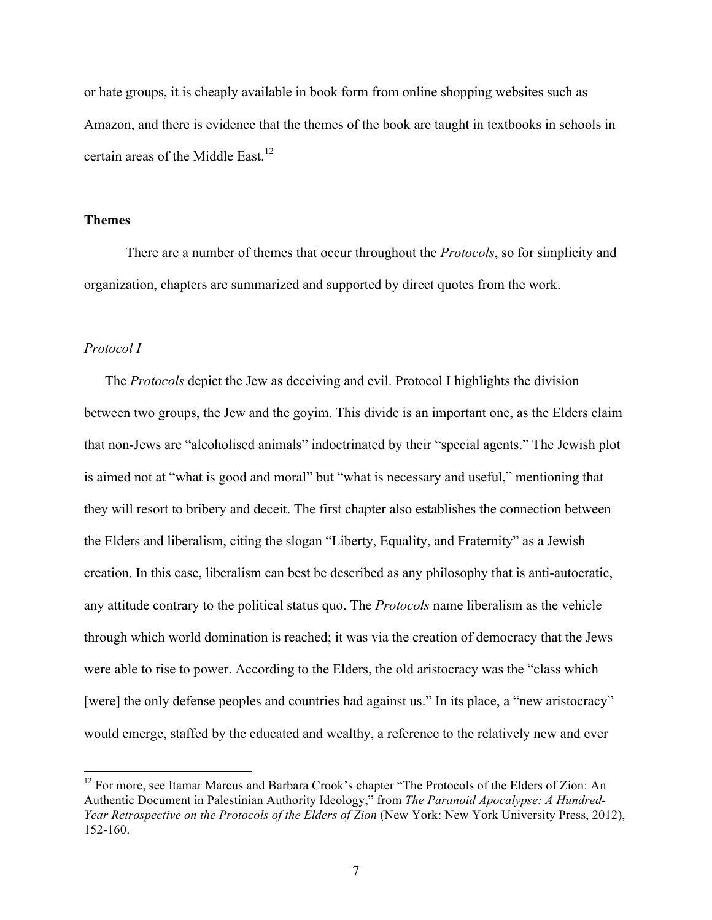or hate groups, it is cheaply available in book form from online shopping websites such as Amazon, and there is evidence that the themes of the book are taught in textbooks in schools in certain areas of the Middle East.<sup>12</sup>

#### **Themes**

There are a number of themes that occur throughout the *Protocols*, so for simplicity and organization, chapters are summarized and supported by direct quotes from the work.

# *Protocol I*

The *Protocols* depict the Jew as deceiving and evil. Protocol I highlights the division between two groups, the Jew and the goyim. This divide is an important one, as the Elders claim that non-Jews are "alcoholised animals" indoctrinated by their "special agents." The Jewish plot is aimed not at "what is good and moral" but "what is necessary and useful," mentioning that they will resort to bribery and deceit. The first chapter also establishes the connection between the Elders and liberalism, citing the slogan "Liberty, Equality, and Fraternity" as a Jewish creation. In this case, liberalism can best be described as any philosophy that is anti-autocratic, any attitude contrary to the political status quo. The *Protocols* name liberalism as the vehicle through which world domination is reached; it was via the creation of democracy that the Jews were able to rise to power. According to the Elders, the old aristocracy was the "class which [were] the only defense peoples and countries had against us." In its place, a "new aristocracy" would emerge, staffed by the educated and wealthy, a reference to the relatively new and ever

<sup>&</sup>lt;sup>12</sup> For more, see Itamar Marcus and Barbara Crook's chapter "The Protocols of the Elders of Zion: An Authentic Document in Palestinian Authority Ideology," from *The Paranoid Apocalypse: A Hundred-Year Retrospective on the Protocols of the Elders of Zion* (New York: New York University Press, 2012), 152-160.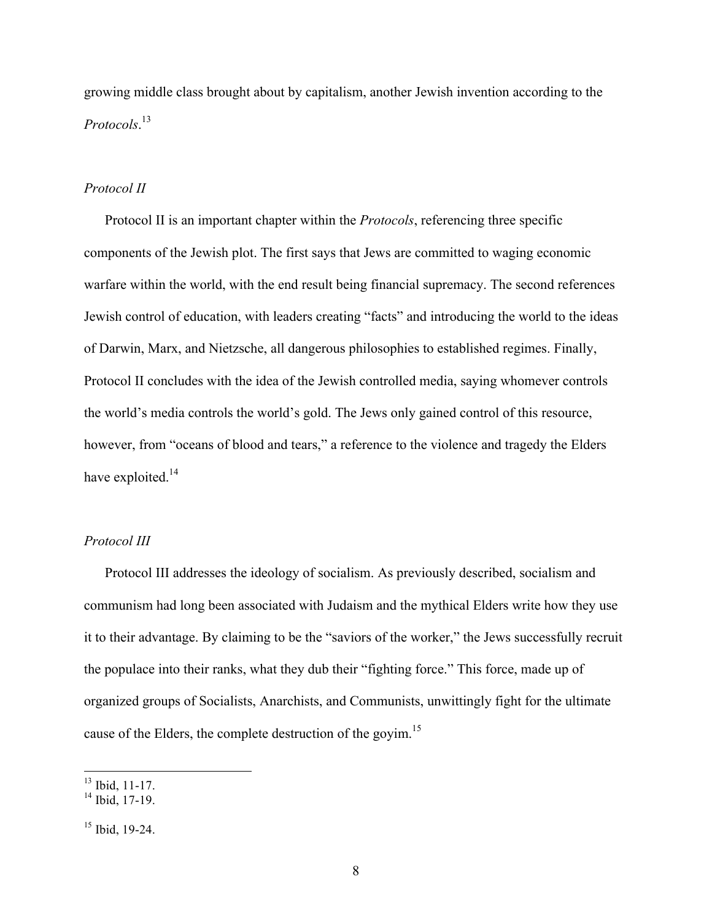growing middle class brought about by capitalism, another Jewish invention according to the *Protocols*. 13

## *Protocol II*

Protocol II is an important chapter within the *Protocols*, referencing three specific components of the Jewish plot. The first says that Jews are committed to waging economic warfare within the world, with the end result being financial supremacy. The second references Jewish control of education, with leaders creating "facts" and introducing the world to the ideas of Darwin, Marx, and Nietzsche, all dangerous philosophies to established regimes. Finally, Protocol II concludes with the idea of the Jewish controlled media, saying whomever controls the world's media controls the world's gold. The Jews only gained control of this resource, however, from "oceans of blood and tears," a reference to the violence and tragedy the Elders have exploited.<sup>14</sup>

# *Protocol III*

Protocol III addresses the ideology of socialism. As previously described, socialism and communism had long been associated with Judaism and the mythical Elders write how they use it to their advantage. By claiming to be the "saviors of the worker," the Jews successfully recruit the populace into their ranks, what they dub their "fighting force." This force, made up of organized groups of Socialists, Anarchists, and Communists, unwittingly fight for the ultimate cause of the Elders, the complete destruction of the goyim.<sup>15</sup>

 $\frac{13}{13}$  Ibid, 11-17.

 $14$  Ibid, 17-19.

<sup>&</sup>lt;sup>15</sup> Ibid, 19-24.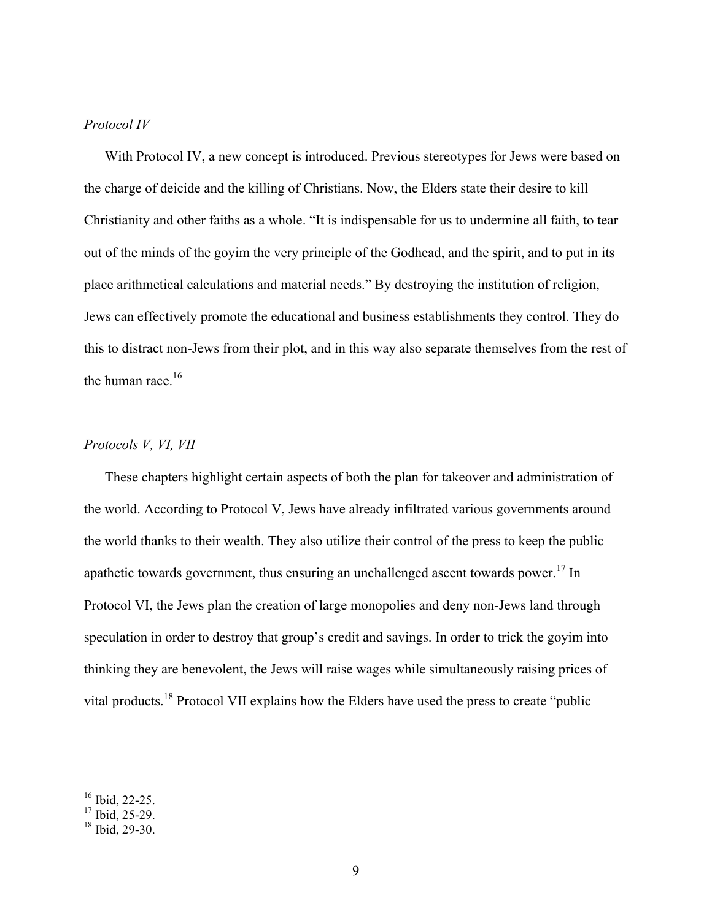# *Protocol IV*

With Protocol IV, a new concept is introduced. Previous stereotypes for Jews were based on the charge of deicide and the killing of Christians. Now, the Elders state their desire to kill Christianity and other faiths as a whole. "It is indispensable for us to undermine all faith, to tear out of the minds of the goyim the very principle of the Godhead, and the spirit, and to put in its place arithmetical calculations and material needs." By destroying the institution of religion, Jews can effectively promote the educational and business establishments they control. They do this to distract non-Jews from their plot, and in this way also separate themselves from the rest of the human race.<sup>16</sup>

# *Protocols V, VI, VII*

These chapters highlight certain aspects of both the plan for takeover and administration of the world. According to Protocol V, Jews have already infiltrated various governments around the world thanks to their wealth. They also utilize their control of the press to keep the public apathetic towards government, thus ensuring an unchallenged ascent towards power.<sup>17</sup> In Protocol VI, the Jews plan the creation of large monopolies and deny non-Jews land through speculation in order to destroy that group's credit and savings. In order to trick the goyim into thinking they are benevolent, the Jews will raise wages while simultaneously raising prices of vital products.18 Protocol VII explains how the Elders have used the press to create "public

 $\frac{16}{16}$  Ibid, 22-25.

 $17$  Ibid, 25-29.

 $18$  Ibid, 29-30.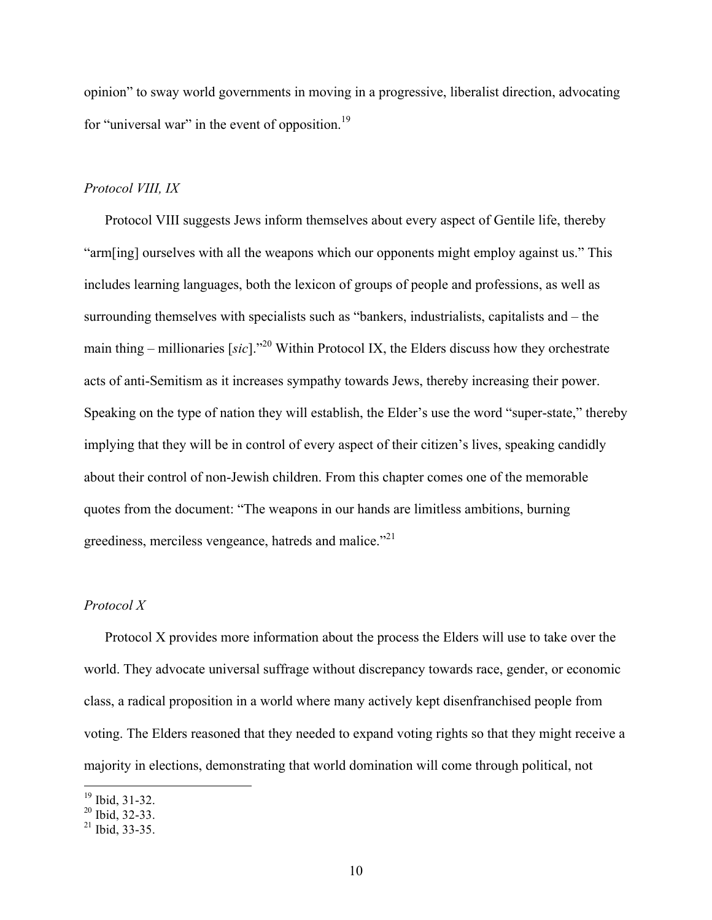opinion" to sway world governments in moving in a progressive, liberalist direction, advocating for "universal war" in the event of opposition.<sup>19</sup>

# *Protocol VIII, IX*

Protocol VIII suggests Jews inform themselves about every aspect of Gentile life, thereby "arm[ing] ourselves with all the weapons which our opponents might employ against us." This includes learning languages, both the lexicon of groups of people and professions, as well as surrounding themselves with specialists such as "bankers, industrialists, capitalists and – the main thing – millionaries [*sic*]."20 Within Protocol IX, the Elders discuss how they orchestrate acts of anti-Semitism as it increases sympathy towards Jews, thereby increasing their power. Speaking on the type of nation they will establish, the Elder's use the word "super-state," thereby implying that they will be in control of every aspect of their citizen's lives, speaking candidly about their control of non-Jewish children. From this chapter comes one of the memorable quotes from the document: "The weapons in our hands are limitless ambitions, burning greediness, merciless vengeance, hatreds and malice."<sup>21</sup>

# *Protocol X*

Protocol X provides more information about the process the Elders will use to take over the world. They advocate universal suffrage without discrepancy towards race, gender, or economic class, a radical proposition in a world where many actively kept disenfranchised people from voting. The Elders reasoned that they needed to expand voting rights so that they might receive a majority in elections, demonstrating that world domination will come through political, not

 $\frac{19}{19}$  Ibid, 31-32.

 $20$  Ibid, 32-33.

 $^{21}$  Ibid, 33-35.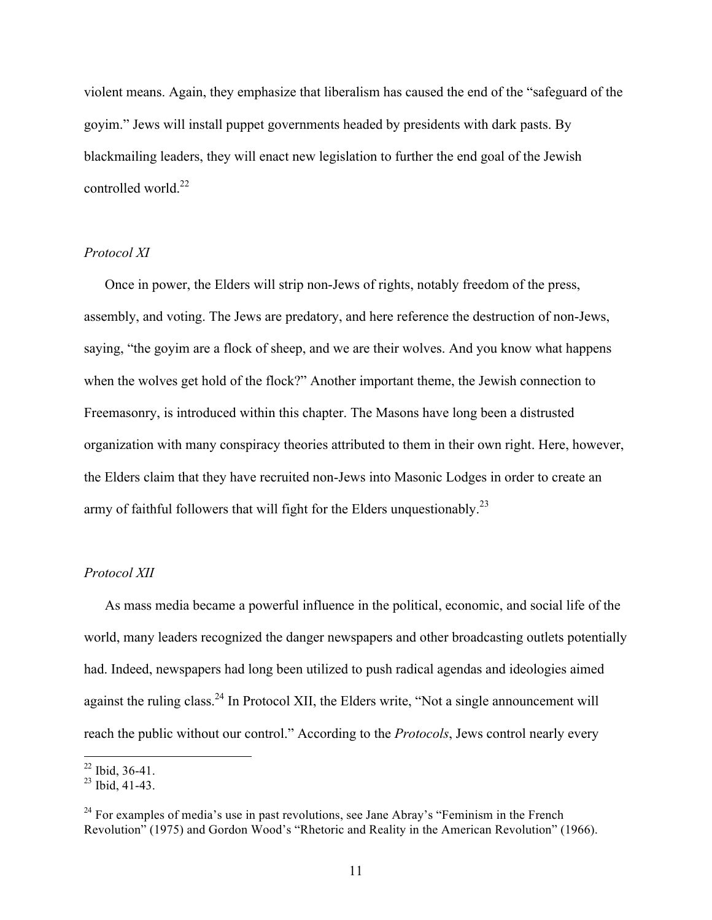violent means. Again, they emphasize that liberalism has caused the end of the "safeguard of the goyim." Jews will install puppet governments headed by presidents with dark pasts. By blackmailing leaders, they will enact new legislation to further the end goal of the Jewish controlled world.<sup>22</sup>

# *Protocol XI*

Once in power, the Elders will strip non-Jews of rights, notably freedom of the press, assembly, and voting. The Jews are predatory, and here reference the destruction of non-Jews, saying, "the goyim are a flock of sheep, and we are their wolves. And you know what happens when the wolves get hold of the flock?" Another important theme, the Jewish connection to Freemasonry, is introduced within this chapter. The Masons have long been a distrusted organization with many conspiracy theories attributed to them in their own right. Here, however, the Elders claim that they have recruited non-Jews into Masonic Lodges in order to create an army of faithful followers that will fight for the Elders unquestionably.<sup>23</sup>

#### *Protocol XII*

As mass media became a powerful influence in the political, economic, and social life of the world, many leaders recognized the danger newspapers and other broadcasting outlets potentially had. Indeed, newspapers had long been utilized to push radical agendas and ideologies aimed against the ruling class.<sup>24</sup> In Protocol XII, the Elders write, "Not a single announcement will reach the public without our control." According to the *Protocols*, Jews control nearly every

 $22$  Ibid, 36-41.

 $23$  Ibid, 41-43.

 $24$  For examples of media's use in past revolutions, see Jane Abray's "Feminism in the French Revolution" (1975) and Gordon Wood's "Rhetoric and Reality in the American Revolution" (1966).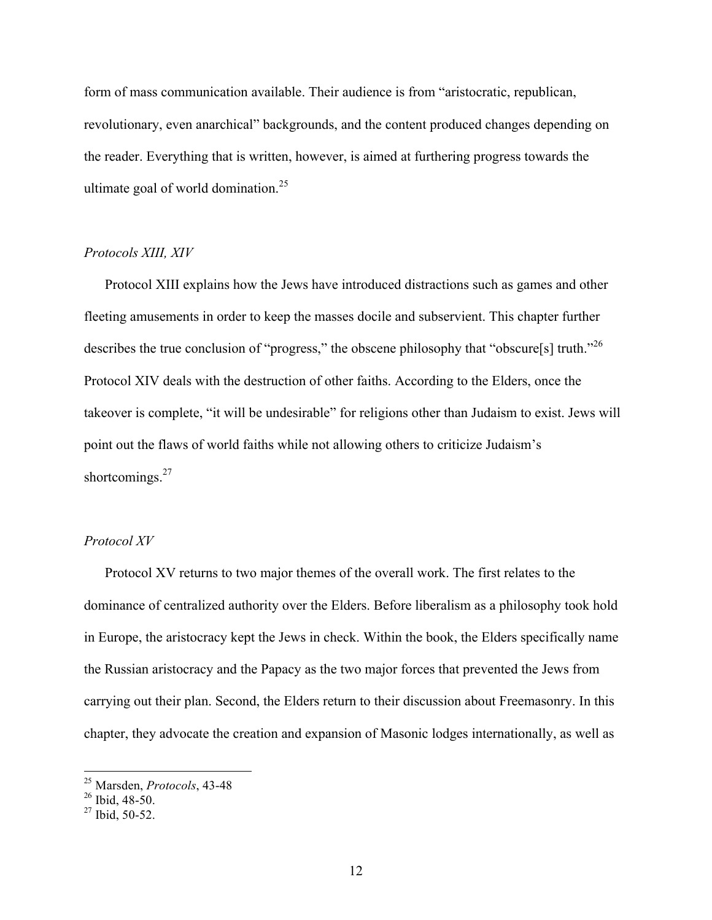form of mass communication available. Their audience is from "aristocratic, republican, revolutionary, even anarchical" backgrounds, and the content produced changes depending on the reader. Everything that is written, however, is aimed at furthering progress towards the ultimate goal of world domination.<sup>25</sup>

#### *Protocols XIII, XIV*

Protocol XIII explains how the Jews have introduced distractions such as games and other fleeting amusements in order to keep the masses docile and subservient. This chapter further describes the true conclusion of "progress," the obscene philosophy that "obscure[s] truth."<sup>26</sup> Protocol XIV deals with the destruction of other faiths. According to the Elders, once the takeover is complete, "it will be undesirable" for religions other than Judaism to exist. Jews will point out the flaws of world faiths while not allowing others to criticize Judaism's shortcomings.<sup>27</sup>

# *Protocol XV*

Protocol XV returns to two major themes of the overall work. The first relates to the dominance of centralized authority over the Elders. Before liberalism as a philosophy took hold in Europe, the aristocracy kept the Jews in check. Within the book, the Elders specifically name the Russian aristocracy and the Papacy as the two major forces that prevented the Jews from carrying out their plan. Second, the Elders return to their discussion about Freemasonry. In this chapter, they advocate the creation and expansion of Masonic lodges internationally, as well as

 <sup>25</sup> Marsden, *Protocols*, 43-48

 $26$  Ibid, 48-50.

 $27$  Ibid, 50-52.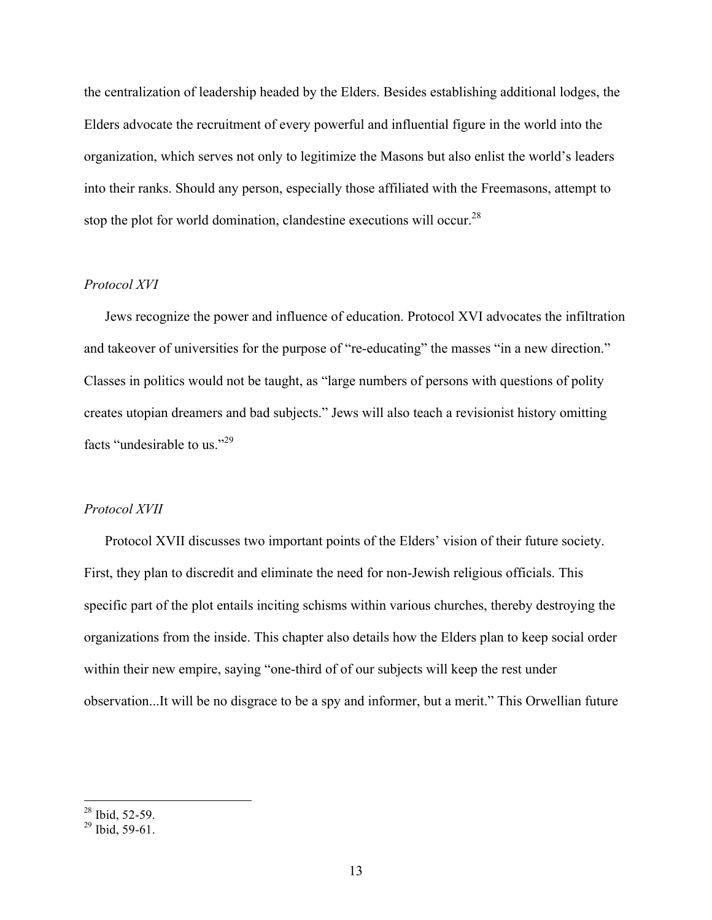the centralization of leadership headed by the Elders. Besides establishing additional lodges, the Elders advocate the recruitment of every powerful and influential figure in the world into the organization, which serves not only to legitimize the Masons but also enlist the world's leaders into their ranks. Should any person, especially those affiliated with the Freemasons, attempt to stop the plot for world domination, clandestine executions will occur.<sup>28</sup>

# *Protocol XVI*

Jews recognize the power and influence of education. Protocol XVI advocates the infiltration and takeover of universities for the purpose of "re-educating" the masses "in a new direction." Classes in politics would not be taught, as "large numbers of persons with questions of polity creates utopian dreamers and bad subjects." Jews will also teach a revisionist history omitting facts "undesirable to us."<sup>29</sup>

#### *Protocol XVII*

Protocol XVII discusses two important points of the Elders' vision of their future society. First, they plan to discredit and eliminate the need for non-Jewish religious officials. This specific part of the plot entails inciting schisms within various churches, thereby destroying the organizations from the inside. This chapter also details how the Elders plan to keep social order within their new empire, saying "one-third of of our subjects will keep the rest under observation...It will be no disgrace to be a spy and informer, but a merit." This Orwellian future

 $\frac{28 \text{ Ibid, } 52 - 59.}{28 \text{ Ibid, } 52 - 59.}$ 

 $^{29}$  Ibid, 59-61.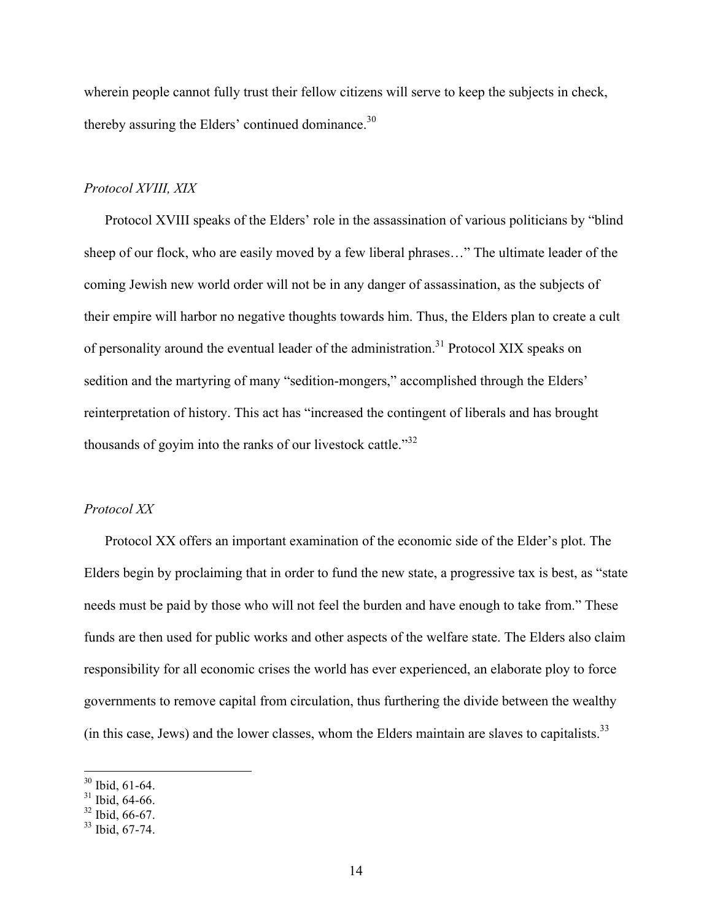wherein people cannot fully trust their fellow citizens will serve to keep the subjects in check, thereby assuring the Elders' continued dominance.<sup>30</sup>

#### *Protocol XVIII, XIX*

Protocol XVIII speaks of the Elders' role in the assassination of various politicians by "blind sheep of our flock, who are easily moved by a few liberal phrases…" The ultimate leader of the coming Jewish new world order will not be in any danger of assassination, as the subjects of their empire will harbor no negative thoughts towards him. Thus, the Elders plan to create a cult of personality around the eventual leader of the administration.<sup>31</sup> Protocol XIX speaks on sedition and the martyring of many "sedition-mongers," accomplished through the Elders' reinterpretation of history. This act has "increased the contingent of liberals and has brought thousands of govim into the ranks of our livestock cattle." $32$ 

# *Protocol XX*

Protocol XX offers an important examination of the economic side of the Elder's plot. The Elders begin by proclaiming that in order to fund the new state, a progressive tax is best, as "state needs must be paid by those who will not feel the burden and have enough to take from." These funds are then used for public works and other aspects of the welfare state. The Elders also claim responsibility for all economic crises the world has ever experienced, an elaborate ploy to force governments to remove capital from circulation, thus furthering the divide between the wealthy (in this case, Jews) and the lower classes, whom the Elders maintain are slaves to capitalists. $33$ 

 <sup>30</sup> Ibid, 61-64.

<sup>&</sup>lt;sup>31</sup> Ibid, 64-66.

 $32$  Ibid, 66-67.

<sup>33</sup> Ibid, 67-74.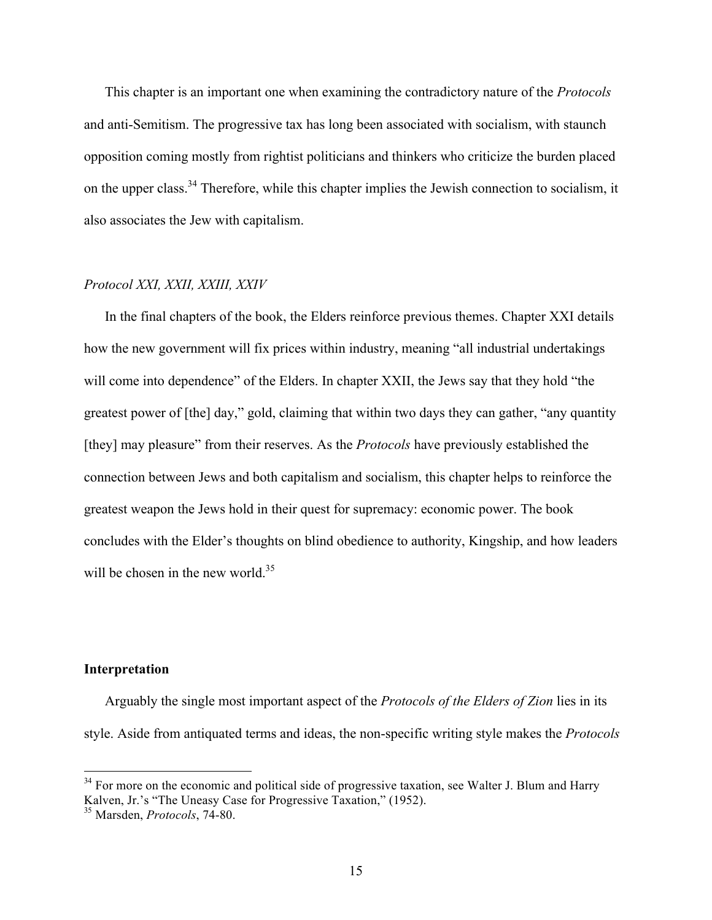This chapter is an important one when examining the contradictory nature of the *Protocols* and anti-Semitism. The progressive tax has long been associated with socialism, with staunch opposition coming mostly from rightist politicians and thinkers who criticize the burden placed on the upper class.<sup>34</sup> Therefore, while this chapter implies the Jewish connection to socialism, it also associates the Jew with capitalism.

# *Protocol XXI, XXII, XXIII, XXIV*

In the final chapters of the book, the Elders reinforce previous themes. Chapter XXI details how the new government will fix prices within industry, meaning "all industrial undertakings will come into dependence" of the Elders. In chapter XXII, the Jews say that they hold "the greatest power of [the] day," gold, claiming that within two days they can gather, "any quantity [they] may pleasure" from their reserves. As the *Protocols* have previously established the connection between Jews and both capitalism and socialism, this chapter helps to reinforce the greatest weapon the Jews hold in their quest for supremacy: economic power. The book concludes with the Elder's thoughts on blind obedience to authority, Kingship, and how leaders will be chosen in the new world. $35$ 

# **Interpretation**

Arguably the single most important aspect of the *Protocols of the Elders of Zion* lies in its style. Aside from antiquated terms and ideas, the non-specific writing style makes the *Protocols*

<sup>&</sup>lt;sup>34</sup> For more on the economic and political side of progressive taxation, see Walter J. Blum and Harry Kalven, Jr.'s "The Uneasy Case for Progressive Taxation," (1952).

<sup>35</sup> Marsden, *Protocols*, 74-80.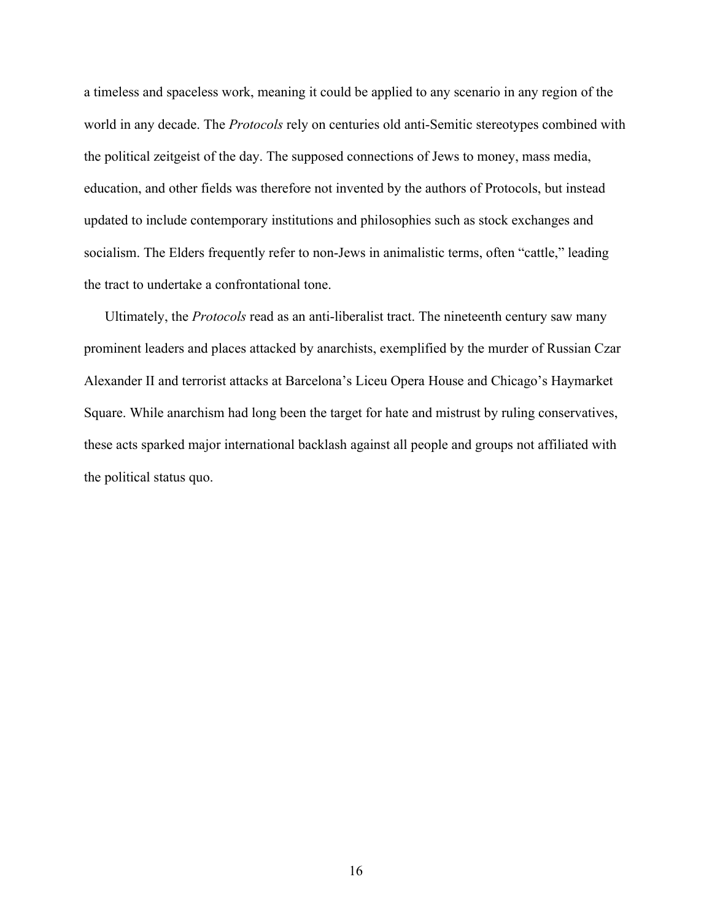a timeless and spaceless work, meaning it could be applied to any scenario in any region of the world in any decade. The *Protocols* rely on centuries old anti-Semitic stereotypes combined with the political zeitgeist of the day. The supposed connections of Jews to money, mass media, education, and other fields was therefore not invented by the authors of Protocols, but instead updated to include contemporary institutions and philosophies such as stock exchanges and socialism. The Elders frequently refer to non-Jews in animalistic terms, often "cattle," leading the tract to undertake a confrontational tone.

Ultimately, the *Protocols* read as an anti-liberalist tract. The nineteenth century saw many prominent leaders and places attacked by anarchists, exemplified by the murder of Russian Czar Alexander II and terrorist attacks at Barcelona's Liceu Opera House and Chicago's Haymarket Square. While anarchism had long been the target for hate and mistrust by ruling conservatives, these acts sparked major international backlash against all people and groups not affiliated with the political status quo.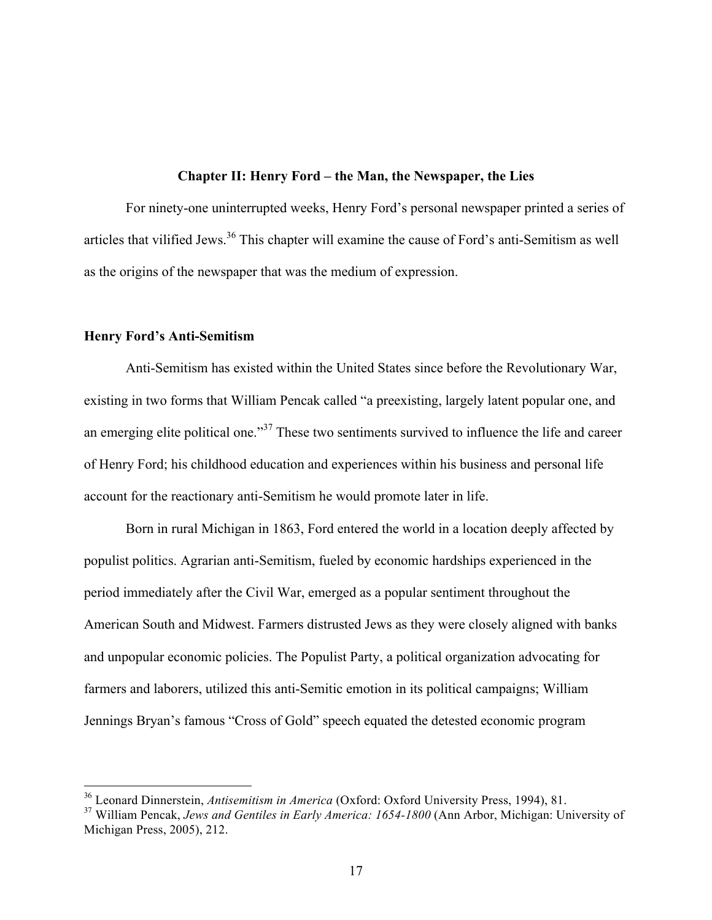### **Chapter II: Henry Ford – the Man, the Newspaper, the Lies**

For ninety-one uninterrupted weeks, Henry Ford's personal newspaper printed a series of articles that vilified Jews.<sup>36</sup> This chapter will examine the cause of Ford's anti-Semitism as well as the origins of the newspaper that was the medium of expression.

#### **Henry Ford's Anti-Semitism**

Anti-Semitism has existed within the United States since before the Revolutionary War, existing in two forms that William Pencak called "a preexisting, largely latent popular one, and an emerging elite political one."<sup>37</sup> These two sentiments survived to influence the life and career of Henry Ford; his childhood education and experiences within his business and personal life account for the reactionary anti-Semitism he would promote later in life.

Born in rural Michigan in 1863, Ford entered the world in a location deeply affected by populist politics. Agrarian anti-Semitism, fueled by economic hardships experienced in the period immediately after the Civil War, emerged as a popular sentiment throughout the American South and Midwest. Farmers distrusted Jews as they were closely aligned with banks and unpopular economic policies. The Populist Party, a political organization advocating for farmers and laborers, utilized this anti-Semitic emotion in its political campaigns; William Jennings Bryan's famous "Cross of Gold" speech equated the detested economic program

 <sup>36</sup> Leonard Dinnerstein, *Antisemitism in America* (Oxford: Oxford University Press, 1994), 81.

<sup>37</sup> William Pencak, *Jews and Gentiles in Early America: 1654-1800* (Ann Arbor, Michigan: University of Michigan Press, 2005), 212.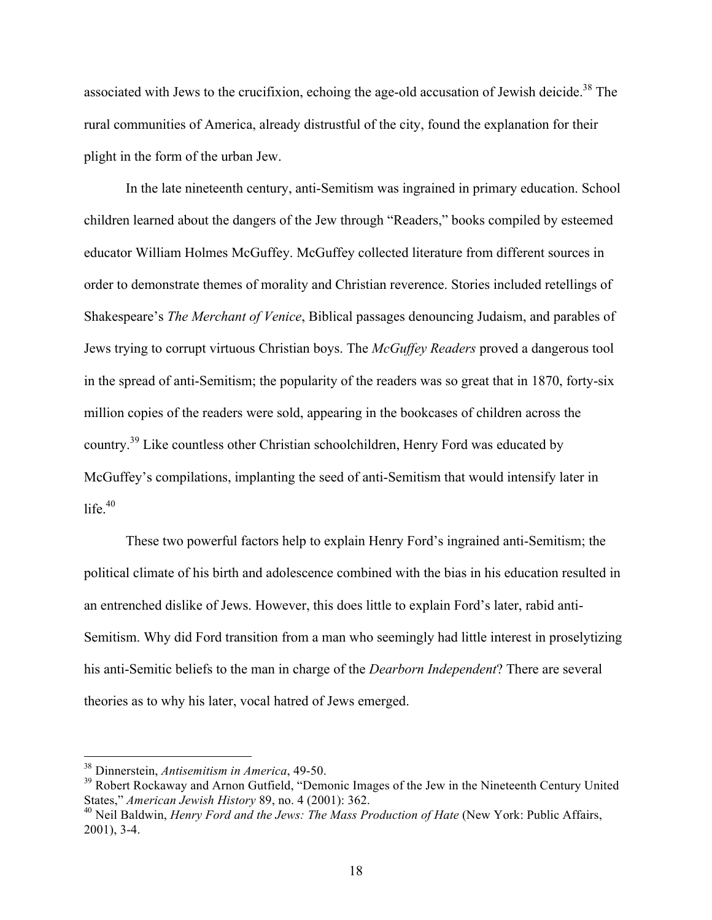associated with Jews to the crucifixion, echoing the age-old accusation of Jewish deicide.<sup>38</sup> The rural communities of America, already distrustful of the city, found the explanation for their plight in the form of the urban Jew.

In the late nineteenth century, anti-Semitism was ingrained in primary education. School children learned about the dangers of the Jew through "Readers," books compiled by esteemed educator William Holmes McGuffey. McGuffey collected literature from different sources in order to demonstrate themes of morality and Christian reverence. Stories included retellings of Shakespeare's *The Merchant of Venice*, Biblical passages denouncing Judaism, and parables of Jews trying to corrupt virtuous Christian boys. The *McGuffey Readers* proved a dangerous tool in the spread of anti-Semitism; the popularity of the readers was so great that in 1870, forty-six million copies of the readers were sold, appearing in the bookcases of children across the country.39 Like countless other Christian schoolchildren, Henry Ford was educated by McGuffey's compilations, implanting the seed of anti-Semitism that would intensify later in life $1^{40}$ 

These two powerful factors help to explain Henry Ford's ingrained anti-Semitism; the political climate of his birth and adolescence combined with the bias in his education resulted in an entrenched dislike of Jews. However, this does little to explain Ford's later, rabid anti-Semitism. Why did Ford transition from a man who seemingly had little interest in proselytizing his anti-Semitic beliefs to the man in charge of the *Dearborn Independent*? There are several theories as to why his later, vocal hatred of Jews emerged.

 <sup>38</sup> Dinnerstein, *Antisemitism in America*, 49-50.

<sup>&</sup>lt;sup>39</sup> Robert Rockaway and Arnon Gutfield, "Demonic Images of the Jew in the Nineteenth Century United States," *American Jewish History* 89, no. 4 (2001): 362.

<sup>40</sup> Neil Baldwin, *Henry Ford and the Jews: The Mass Production of Hate* (New York: Public Affairs, 2001), 3-4.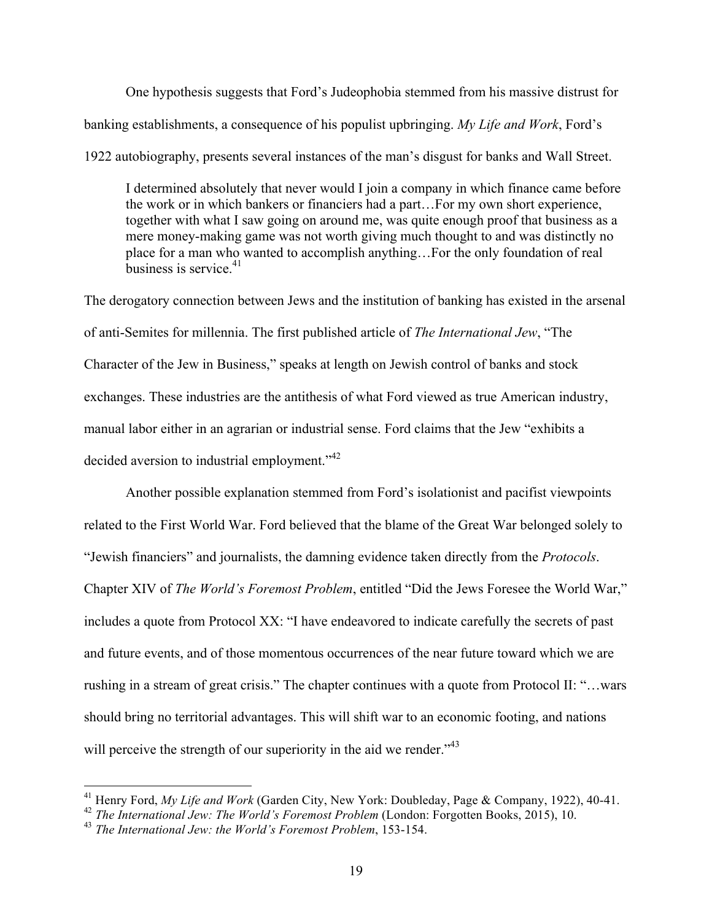One hypothesis suggests that Ford's Judeophobia stemmed from his massive distrust for banking establishments, a consequence of his populist upbringing. *My Life and Work*, Ford's

1922 autobiography, presents several instances of the man's disgust for banks and Wall Street.

I determined absolutely that never would I join a company in which finance came before the work or in which bankers or financiers had a part…For my own short experience, together with what I saw going on around me, was quite enough proof that business as a mere money-making game was not worth giving much thought to and was distinctly no place for a man who wanted to accomplish anything…For the only foundation of real business is service  $41$ 

The derogatory connection between Jews and the institution of banking has existed in the arsenal of anti-Semites for millennia. The first published article of *The International Jew*, "The Character of the Jew in Business," speaks at length on Jewish control of banks and stock exchanges. These industries are the antithesis of what Ford viewed as true American industry, manual labor either in an agrarian or industrial sense. Ford claims that the Jew "exhibits a decided aversion to industrial employment."<sup>42</sup>

Another possible explanation stemmed from Ford's isolationist and pacifist viewpoints related to the First World War. Ford believed that the blame of the Great War belonged solely to "Jewish financiers" and journalists, the damning evidence taken directly from the *Protocols*. Chapter XIV of *The World's Foremost Problem*, entitled "Did the Jews Foresee the World War," includes a quote from Protocol XX: "I have endeavored to indicate carefully the secrets of past and future events, and of those momentous occurrences of the near future toward which we are rushing in a stream of great crisis." The chapter continues with a quote from Protocol II: "…wars should bring no territorial advantages. This will shift war to an economic footing, and nations will perceive the strength of our superiority in the aid we render.<sup>743</sup>

 <sup>41</sup> Henry Ford, *My Life and Work* (Garden City, New York: Doubleday, Page & Company, 1922), 40-41.

<sup>42</sup> *The International Jew: The World's Foremost Problem* (London: Forgotten Books, 2015), 10.

<sup>43</sup> *The International Jew: the World's Foremost Problem*, 153-154.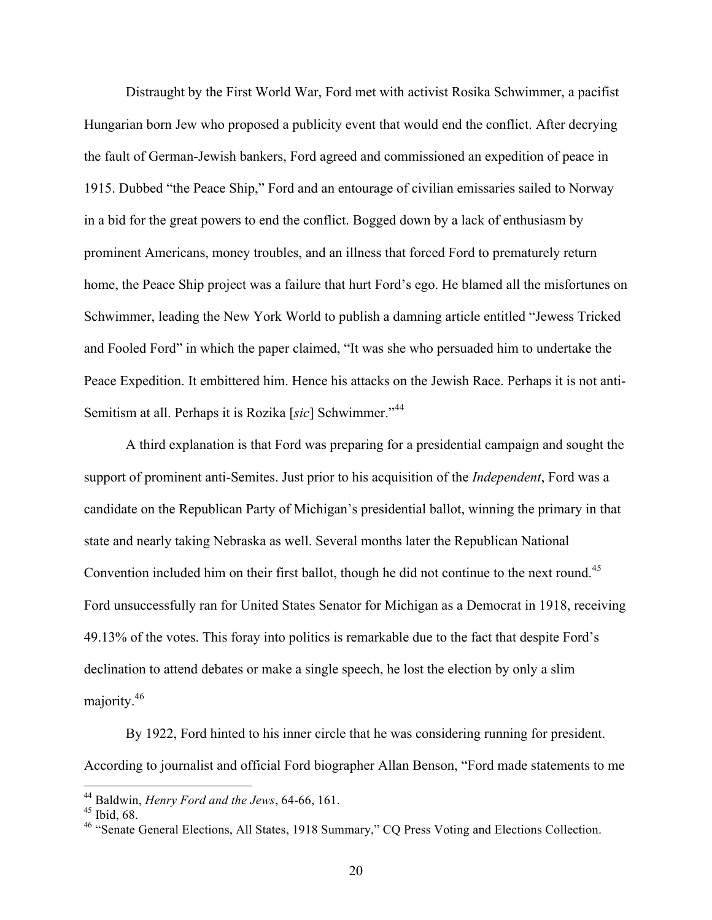Distraught by the First World War, Ford met with activist Rosika Schwimmer, a pacifist Hungarian born Jew who proposed a publicity event that would end the conflict. After decrying the fault of German-Jewish bankers, Ford agreed and commissioned an expedition of peace in 1915. Dubbed "the Peace Ship," Ford and an entourage of civilian emissaries sailed to Norway in a bid for the great powers to end the conflict. Bogged down by a lack of enthusiasm by prominent Americans, money troubles, and an illness that forced Ford to prematurely return home, the Peace Ship project was a failure that hurt Ford's ego. He blamed all the misfortunes on Schwimmer, leading the New York World to publish a damning article entitled "Jewess Tricked and Fooled Ford" in which the paper claimed, "It was she who persuaded him to undertake the Peace Expedition. It embittered him. Hence his attacks on the Jewish Race. Perhaps it is not anti-Semitism at all. Perhaps it is Rozika [*sic*] Schwimmer."<sup>44</sup>

A third explanation is that Ford was preparing for a presidential campaign and sought the support of prominent anti-Semites. Just prior to his acquisition of the *Independent*, Ford was a candidate on the Republican Party of Michigan's presidential ballot, winning the primary in that state and nearly taking Nebraska as well. Several months later the Republican National Convention included him on their first ballot, though he did not continue to the next round.<sup>45</sup> Ford unsuccessfully ran for United States Senator for Michigan as a Democrat in 1918, receiving 49.13% of the votes. This foray into politics is remarkable due to the fact that despite Ford's declination to attend debates or make a single speech, he lost the election by only a slim majority.<sup>46</sup>

By 1922, Ford hinted to his inner circle that he was considering running for president. According to journalist and official Ford biographer Allan Benson, "Ford made statements to me

 <sup>44</sup> Baldwin, *Henry Ford and the Jews*, 64-66, 161.

 $45$  Ibid, 68.

<sup>&</sup>lt;sup>46</sup> "Senate General Elections, All States, 1918 Summary," CQ Press Voting and Elections Collection.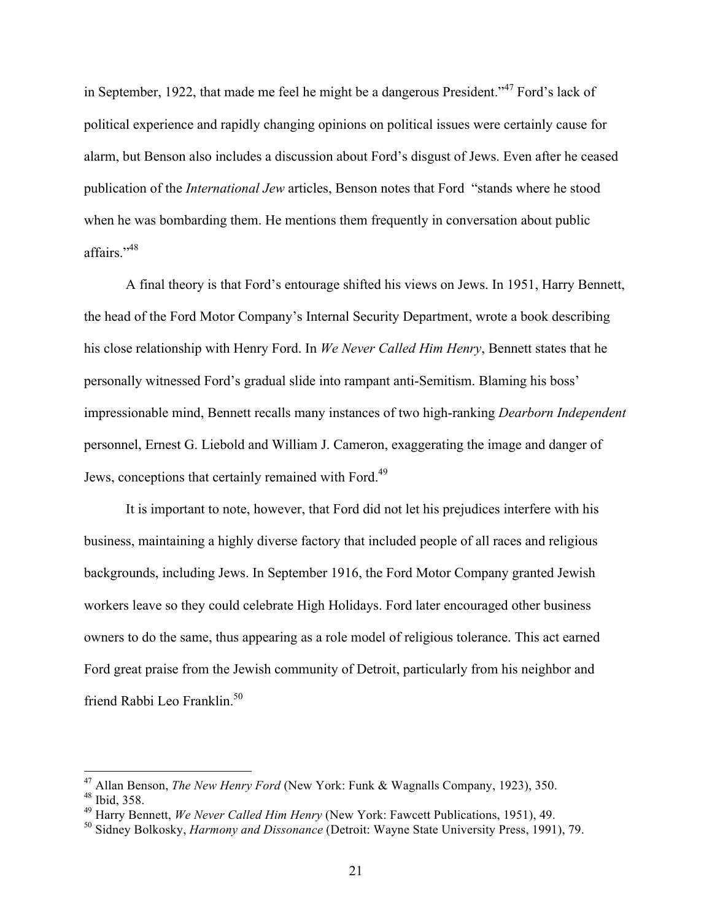in September, 1922, that made me feel he might be a dangerous President."<sup>47</sup> Ford's lack of political experience and rapidly changing opinions on political issues were certainly cause for alarm, but Benson also includes a discussion about Ford's disgust of Jews. Even after he ceased publication of the *International Jew* articles, Benson notes that Ford "stands where he stood when he was bombarding them. He mentions them frequently in conversation about public affairs."48

A final theory is that Ford's entourage shifted his views on Jews. In 1951, Harry Bennett, the head of the Ford Motor Company's Internal Security Department, wrote a book describing his close relationship with Henry Ford. In *We Never Called Him Henry*, Bennett states that he personally witnessed Ford's gradual slide into rampant anti-Semitism. Blaming his boss' impressionable mind, Bennett recalls many instances of two high-ranking *Dearborn Independent* personnel, Ernest G. Liebold and William J. Cameron, exaggerating the image and danger of Jews, conceptions that certainly remained with Ford.<sup>49</sup>

It is important to note, however, that Ford did not let his prejudices interfere with his business, maintaining a highly diverse factory that included people of all races and religious backgrounds, including Jews. In September 1916, the Ford Motor Company granted Jewish workers leave so they could celebrate High Holidays. Ford later encouraged other business owners to do the same, thus appearing as a role model of religious tolerance. This act earned Ford great praise from the Jewish community of Detroit, particularly from his neighbor and friend Rabbi Leo Franklin.<sup>50</sup>

 <sup>47</sup> Allan Benson, *The New Henry Ford* (New York: Funk & Wagnalls Company, 1923), 350.

<sup>48</sup> Ibid, 358.

<sup>49</sup> Harry Bennett, *We Never Called Him Henry* (New York: Fawcett Publications, 1951), 49.

<sup>50</sup> Sidney Bolkosky, *Harmony and Dissonance* (Detroit: Wayne State University Press, 1991), 79.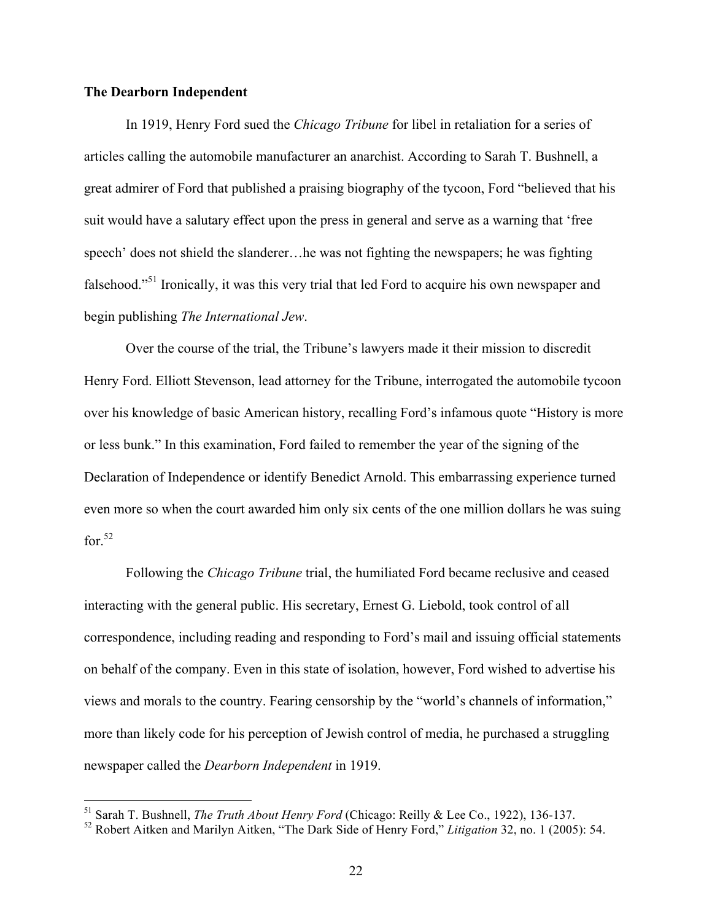### **The Dearborn Independent**

In 1919, Henry Ford sued the *Chicago Tribune* for libel in retaliation for a series of articles calling the automobile manufacturer an anarchist. According to Sarah T. Bushnell, a great admirer of Ford that published a praising biography of the tycoon, Ford "believed that his suit would have a salutary effect upon the press in general and serve as a warning that 'free speech' does not shield the slanderer…he was not fighting the newspapers; he was fighting falsehood."51 Ironically, it was this very trial that led Ford to acquire his own newspaper and begin publishing *The International Jew*.

Over the course of the trial, the Tribune's lawyers made it their mission to discredit Henry Ford. Elliott Stevenson, lead attorney for the Tribune, interrogated the automobile tycoon over his knowledge of basic American history, recalling Ford's infamous quote "History is more or less bunk." In this examination, Ford failed to remember the year of the signing of the Declaration of Independence or identify Benedict Arnold. This embarrassing experience turned even more so when the court awarded him only six cents of the one million dollars he was suing for. $52$ 

Following the *Chicago Tribune* trial, the humiliated Ford became reclusive and ceased interacting with the general public. His secretary, Ernest G. Liebold, took control of all correspondence, including reading and responding to Ford's mail and issuing official statements on behalf of the company. Even in this state of isolation, however, Ford wished to advertise his views and morals to the country. Fearing censorship by the "world's channels of information," more than likely code for his perception of Jewish control of media, he purchased a struggling newspaper called the *Dearborn Independent* in 1919.

 <sup>51</sup> Sarah T. Bushnell, *The Truth About Henry Ford* (Chicago: Reilly & Lee Co., 1922), 136-137.

<sup>52</sup> Robert Aitken and Marilyn Aitken, "The Dark Side of Henry Ford," *Litigation* 32, no. 1 (2005): 54.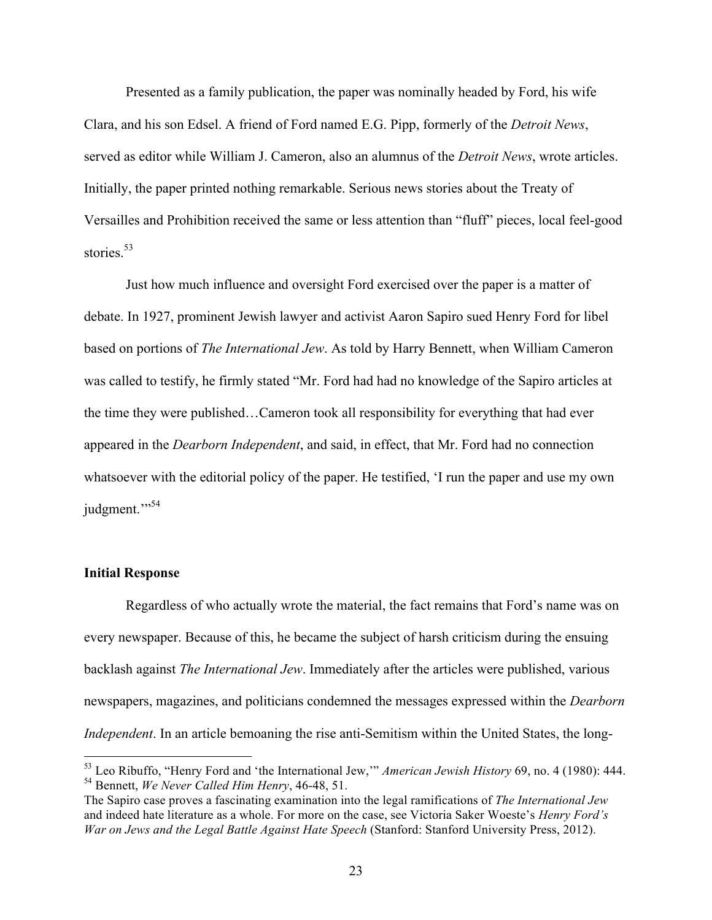Presented as a family publication, the paper was nominally headed by Ford, his wife Clara, and his son Edsel. A friend of Ford named E.G. Pipp, formerly of the *Detroit News*, served as editor while William J. Cameron, also an alumnus of the *Detroit News*, wrote articles. Initially, the paper printed nothing remarkable. Serious news stories about the Treaty of Versailles and Prohibition received the same or less attention than "fluff" pieces, local feel-good stories $^{53}$ 

Just how much influence and oversight Ford exercised over the paper is a matter of debate. In 1927, prominent Jewish lawyer and activist Aaron Sapiro sued Henry Ford for libel based on portions of *The International Jew*. As told by Harry Bennett, when William Cameron was called to testify, he firmly stated "Mr. Ford had had no knowledge of the Sapiro articles at the time they were published…Cameron took all responsibility for everything that had ever appeared in the *Dearborn Independent*, and said, in effect, that Mr. Ford had no connection whatsoever with the editorial policy of the paper. He testified, 'I run the paper and use my own judgment."<sup>54</sup>

#### **Initial Response**

Regardless of who actually wrote the material, the fact remains that Ford's name was on every newspaper. Because of this, he became the subject of harsh criticism during the ensuing backlash against *The International Jew*. Immediately after the articles were published, various newspapers, magazines, and politicians condemned the messages expressed within the *Dearborn Independent*. In an article bemoaning the rise anti-Semitism within the United States, the long-

 <sup>53</sup> Leo Ribuffo, "Henry Ford and 'the International Jew,'" *American Jewish History* 69, no. 4 (1980): 444. <sup>54</sup> Bennett, *We Never Called Him Henry*, 46-48, 51.

The Sapiro case proves a fascinating examination into the legal ramifications of *The International Jew* and indeed hate literature as a whole. For more on the case, see Victoria Saker Woeste's *Henry Ford's War on Jews and the Legal Battle Against Hate Speech* (Stanford: Stanford University Press, 2012).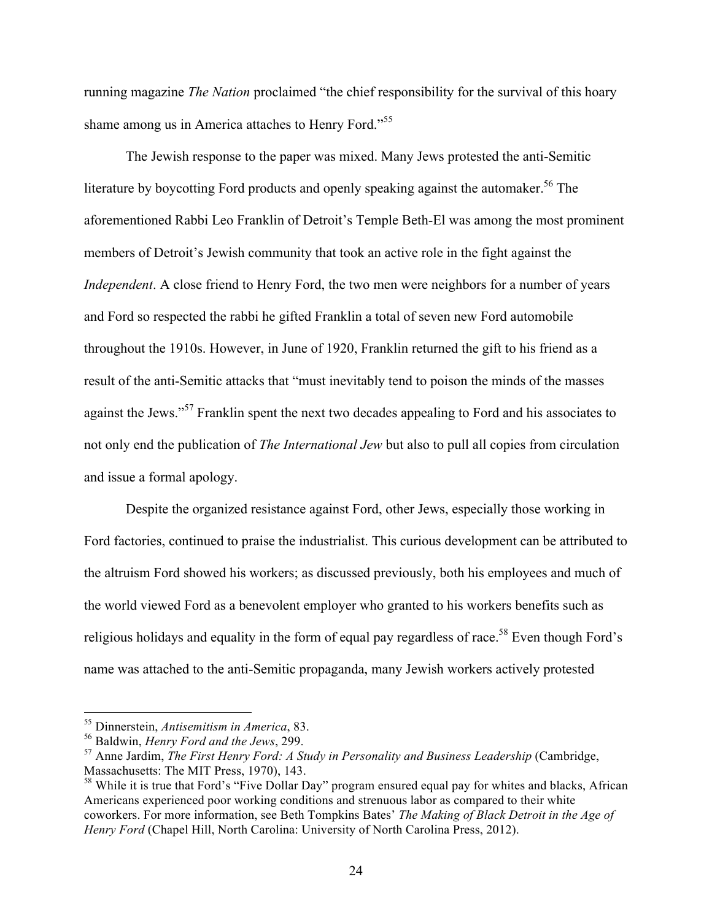running magazine *The Nation* proclaimed "the chief responsibility for the survival of this hoary shame among us in America attaches to Henry Ford."55

The Jewish response to the paper was mixed. Many Jews protested the anti-Semitic literature by boycotting Ford products and openly speaking against the automaker.<sup>56</sup> The aforementioned Rabbi Leo Franklin of Detroit's Temple Beth-El was among the most prominent members of Detroit's Jewish community that took an active role in the fight against the *Independent*. A close friend to Henry Ford, the two men were neighbors for a number of years and Ford so respected the rabbi he gifted Franklin a total of seven new Ford automobile throughout the 1910s. However, in June of 1920, Franklin returned the gift to his friend as a result of the anti-Semitic attacks that "must inevitably tend to poison the minds of the masses against the Jews."<sup>57</sup> Franklin spent the next two decades appealing to Ford and his associates to not only end the publication of *The International Jew* but also to pull all copies from circulation and issue a formal apology.

Despite the organized resistance against Ford, other Jews, especially those working in Ford factories, continued to praise the industrialist. This curious development can be attributed to the altruism Ford showed his workers; as discussed previously, both his employees and much of the world viewed Ford as a benevolent employer who granted to his workers benefits such as religious holidays and equality in the form of equal pay regardless of race.<sup>58</sup> Even though Ford's name was attached to the anti-Semitic propaganda, many Jewish workers actively protested

 <sup>55</sup> Dinnerstein, *Antisemitism in America*, 83.

<sup>56</sup> Baldwin, *Henry Ford and the Jews*, 299.

<sup>&</sup>lt;sup>57</sup> Anne Jardim, *The First Henry Ford: A Study in Personality and Business Leadership* (Cambridge, Massachusetts: The MIT Press, 1970), 143.

<sup>&</sup>lt;sup>58</sup> While it is true that Ford's "Five Dollar Day" program ensured equal pay for whites and blacks, African Americans experienced poor working conditions and strenuous labor as compared to their white coworkers. For more information, see Beth Tompkins Bates' *The Making of Black Detroit in the Age of Henry Ford* (Chapel Hill, North Carolina: University of North Carolina Press, 2012).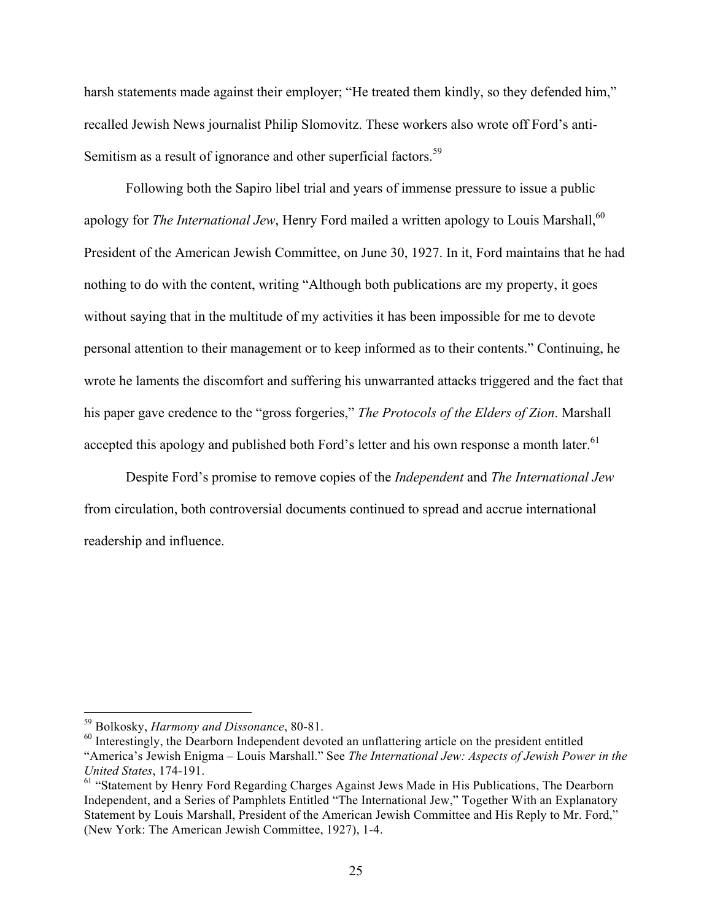harsh statements made against their employer; "He treated them kindly, so they defended him," recalled Jewish News journalist Philip Slomovitz. These workers also wrote off Ford's anti-Semitism as a result of ignorance and other superficial factors.<sup>59</sup>

Following both the Sapiro libel trial and years of immense pressure to issue a public apology for *The International Jew*, Henry Ford mailed a written apology to Louis Marshall,<sup>60</sup> President of the American Jewish Committee, on June 30, 1927. In it, Ford maintains that he had nothing to do with the content, writing "Although both publications are my property, it goes without saying that in the multitude of my activities it has been impossible for me to devote personal attention to their management or to keep informed as to their contents." Continuing, he wrote he laments the discomfort and suffering his unwarranted attacks triggered and the fact that his paper gave credence to the "gross forgeries," *The Protocols of the Elders of Zion*. Marshall accepted this apology and published both Ford's letter and his own response a month later.<sup>61</sup>

Despite Ford's promise to remove copies of the *Independent* and *The International Jew* from circulation, both controversial documents continued to spread and accrue international readership and influence.

 <sup>59</sup> Bolkosky, *Harmony and Dissonance*, 80-81.

<sup>&</sup>lt;sup>60</sup> Interestingly, the Dearborn Independent devoted an unflattering article on the president entitled "America's Jewish Enigma – Louis Marshall." See *The International Jew: Aspects of Jewish Power in the United States*, 174-191.

<sup>&</sup>lt;sup>61</sup> "Statement by Henry Ford Regarding Charges Against Jews Made in His Publications, The Dearborn Independent, and a Series of Pamphlets Entitled "The International Jew," Together With an Explanatory Statement by Louis Marshall, President of the American Jewish Committee and His Reply to Mr. Ford," (New York: The American Jewish Committee, 1927), 1-4.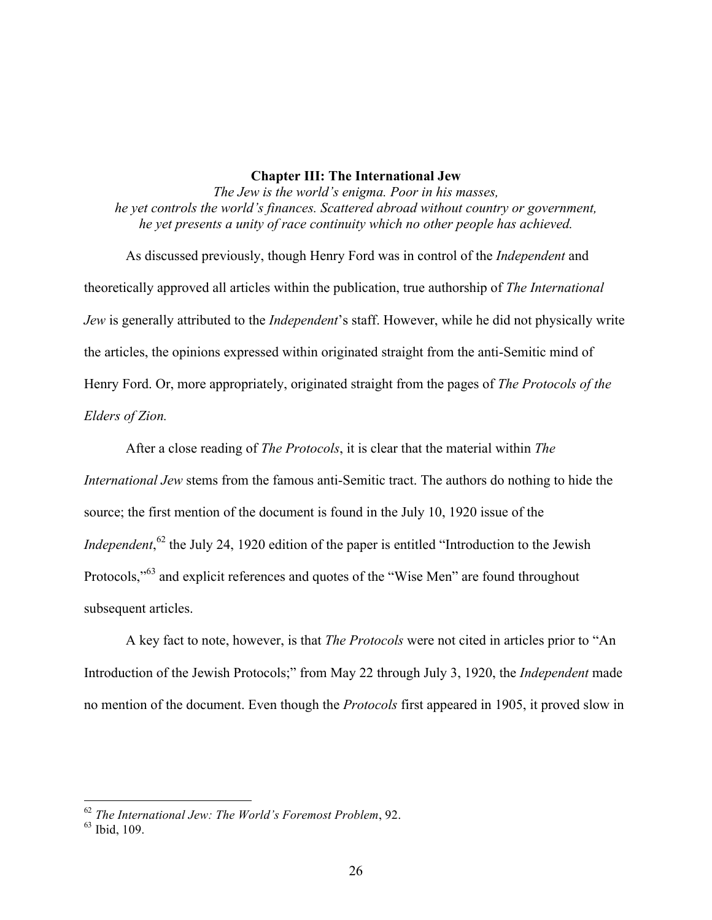#### **Chapter III: The International Jew**

*The Jew is the world's enigma. Poor in his masses, he yet controls the world's finances. Scattered abroad without country or government, he yet presents a unity of race continuity which no other people has achieved.* 

As discussed previously, though Henry Ford was in control of the *Independent* and theoretically approved all articles within the publication, true authorship of *The International Jew* is generally attributed to the *Independent*'s staff. However, while he did not physically write the articles, the opinions expressed within originated straight from the anti-Semitic mind of Henry Ford. Or, more appropriately, originated straight from the pages of *The Protocols of the Elders of Zion.*

After a close reading of *The Protocols*, it is clear that the material within *The International Jew* stems from the famous anti-Semitic tract. The authors do nothing to hide the source; the first mention of the document is found in the July 10, 1920 issue of the *Independent*,<sup>62</sup> the July 24, 1920 edition of the paper is entitled "Introduction to the Jewish Protocols,"<sup>63</sup> and explicit references and quotes of the "Wise Men" are found throughout subsequent articles.

A key fact to note, however, is that *The Protocols* were not cited in articles prior to "An Introduction of the Jewish Protocols;" from May 22 through July 3, 1920, the *Independent* made no mention of the document. Even though the *Protocols* first appeared in 1905, it proved slow in

62 *The International Jew: The World's Foremost Problem*, 92.

<sup>63</sup> Ibid, 109.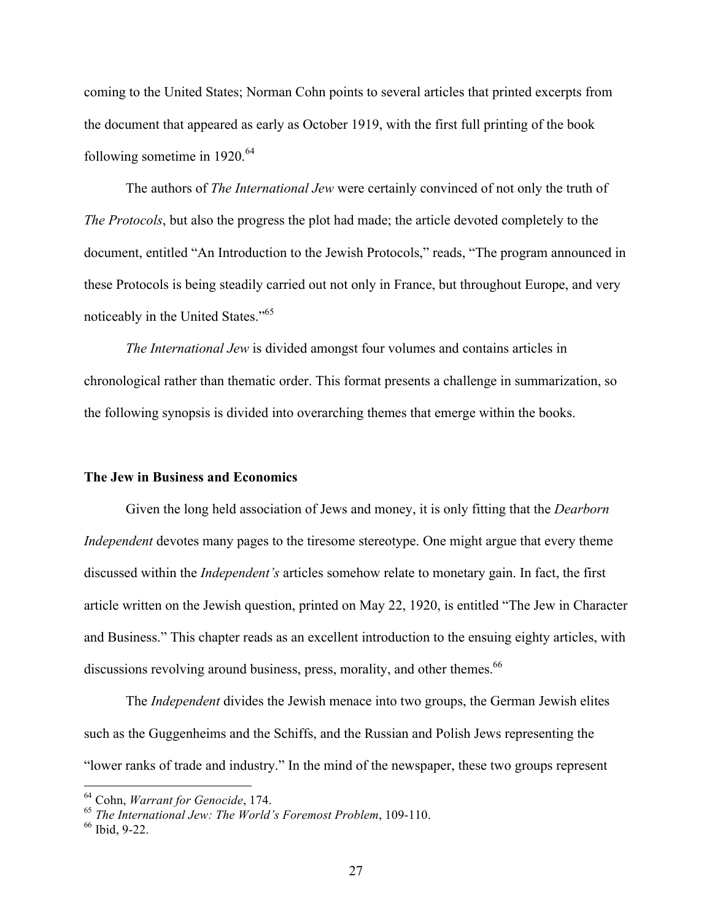coming to the United States; Norman Cohn points to several articles that printed excerpts from the document that appeared as early as October 1919, with the first full printing of the book following sometime in  $1920^{64}$ 

The authors of *The International Jew* were certainly convinced of not only the truth of *The Protocols*, but also the progress the plot had made; the article devoted completely to the document, entitled "An Introduction to the Jewish Protocols," reads, "The program announced in these Protocols is being steadily carried out not only in France, but throughout Europe, and very noticeably in the United States."65

*The International Jew* is divided amongst four volumes and contains articles in chronological rather than thematic order. This format presents a challenge in summarization, so the following synopsis is divided into overarching themes that emerge within the books.

#### **The Jew in Business and Economics**

Given the long held association of Jews and money, it is only fitting that the *Dearborn Independent* devotes many pages to the tiresome stereotype. One might argue that every theme discussed within the *Independent's* articles somehow relate to monetary gain. In fact, the first article written on the Jewish question, printed on May 22, 1920, is entitled "The Jew in Character and Business." This chapter reads as an excellent introduction to the ensuing eighty articles, with discussions revolving around business, press, morality, and other themes.<sup>66</sup>

The *Independent* divides the Jewish menace into two groups, the German Jewish elites such as the Guggenheims and the Schiffs, and the Russian and Polish Jews representing the "lower ranks of trade and industry." In the mind of the newspaper, these two groups represent

 <sup>64</sup> Cohn, *Warrant for Genocide*, 174.

<sup>65</sup> *The International Jew: The World's Foremost Problem*, 109-110.

<sup>66</sup> Ibid, 9-22.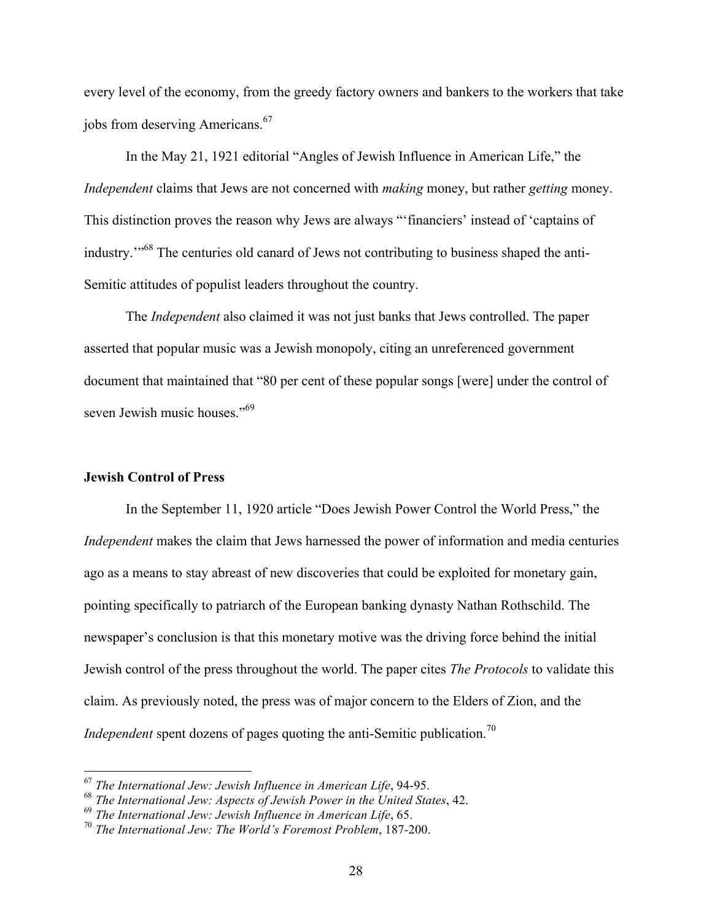every level of the economy, from the greedy factory owners and bankers to the workers that take jobs from deserving Americans.<sup>67</sup>

In the May 21, 1921 editorial "Angles of Jewish Influence in American Life," the *Independent* claims that Jews are not concerned with *making* money, but rather *getting* money. This distinction proves the reason why Jews are always "'financiers' instead of 'captains of industry.'"68 The centuries old canard of Jews not contributing to business shaped the anti-Semitic attitudes of populist leaders throughout the country.

The *Independent* also claimed it was not just banks that Jews controlled. The paper asserted that popular music was a Jewish monopoly, citing an unreferenced government document that maintained that "80 per cent of these popular songs [were] under the control of seven Jewish music houses."<sup>69</sup>

#### **Jewish Control of Press**

In the September 11, 1920 article "Does Jewish Power Control the World Press," the *Independent* makes the claim that Jews harnessed the power of information and media centuries ago as a means to stay abreast of new discoveries that could be exploited for monetary gain, pointing specifically to patriarch of the European banking dynasty Nathan Rothschild. The newspaper's conclusion is that this monetary motive was the driving force behind the initial Jewish control of the press throughout the world. The paper cites *The Protocols* to validate this claim. As previously noted, the press was of major concern to the Elders of Zion, and the *Independent* spent dozens of pages quoting the anti-Semitic publication.<sup>70</sup>

 <sup>67</sup> *The International Jew: Jewish Influence in American Life*, 94-95.

<sup>68</sup> *The International Jew: Aspects of Jewish Power in the United States*, 42.

<sup>69</sup> *The International Jew: Jewish Influence in American Life*, 65.

<sup>70</sup> *The International Jew: The World's Foremost Problem*, 187-200.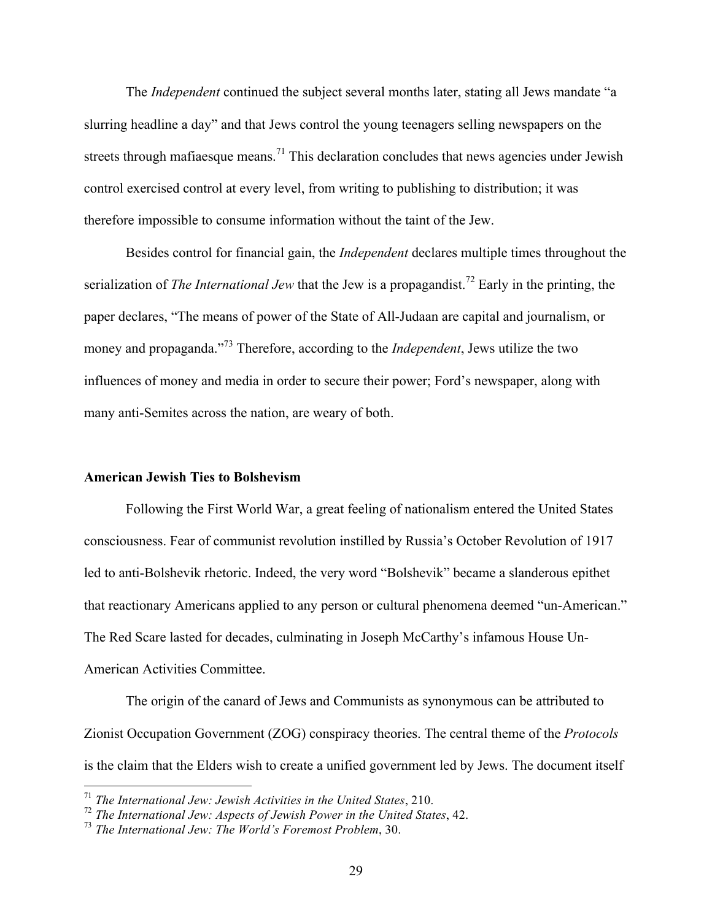The *Independent* continued the subject several months later, stating all Jews mandate "a slurring headline a day" and that Jews control the young teenagers selling newspapers on the streets through mafiaesque means.<sup>71</sup> This declaration concludes that news agencies under Jewish control exercised control at every level, from writing to publishing to distribution; it was therefore impossible to consume information without the taint of the Jew.

Besides control for financial gain, the *Independent* declares multiple times throughout the serialization of *The International Jew* that the Jew is a propagandist.<sup>72</sup> Early in the printing, the paper declares, "The means of power of the State of All-Judaan are capital and journalism, or money and propaganda."73 Therefore, according to the *Independent*, Jews utilize the two influences of money and media in order to secure their power; Ford's newspaper, along with many anti-Semites across the nation, are weary of both.

# **American Jewish Ties to Bolshevism**

Following the First World War, a great feeling of nationalism entered the United States consciousness. Fear of communist revolution instilled by Russia's October Revolution of 1917 led to anti-Bolshevik rhetoric. Indeed, the very word "Bolshevik" became a slanderous epithet that reactionary Americans applied to any person or cultural phenomena deemed "un-American." The Red Scare lasted for decades, culminating in Joseph McCarthy's infamous House Un-American Activities Committee.

The origin of the canard of Jews and Communists as synonymous can be attributed to Zionist Occupation Government (ZOG) conspiracy theories. The central theme of the *Protocols* is the claim that the Elders wish to create a unified government led by Jews. The document itself

 <sup>71</sup> *The International Jew: Jewish Activities in the United States*, 210.

<sup>72</sup> *The International Jew: Aspects of Jewish Power in the United States*, 42.

<sup>73</sup> *The International Jew: The World's Foremost Problem*, 30.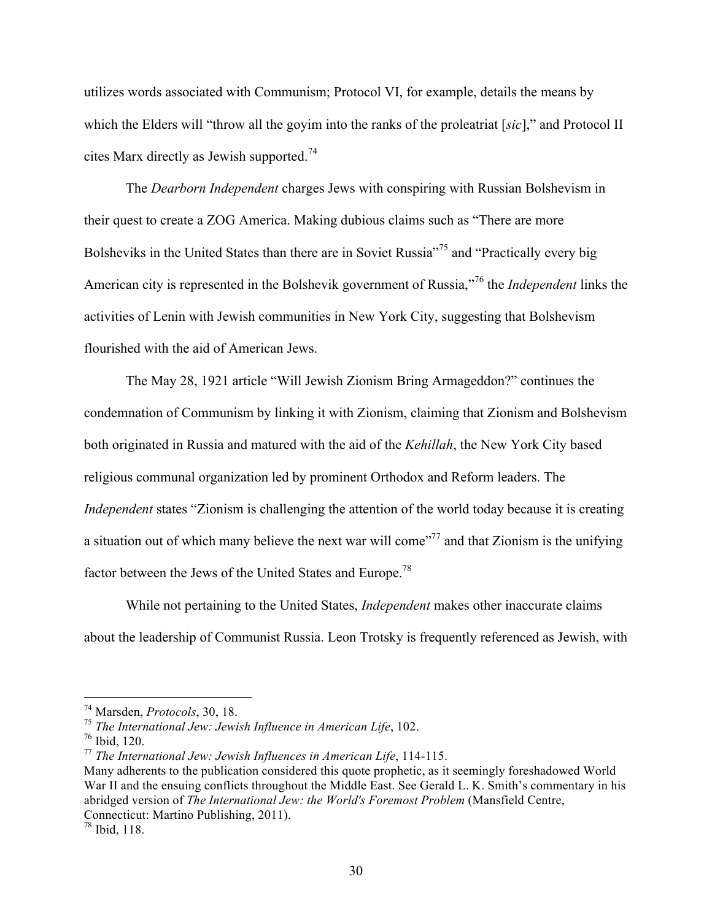utilizes words associated with Communism; Protocol VI, for example, details the means by which the Elders will "throw all the goyim into the ranks of the proleatriat [*sic*]," and Protocol II cites Marx directly as Jewish supported.<sup>74</sup>

The *Dearborn Independent* charges Jews with conspiring with Russian Bolshevism in their quest to create a ZOG America. Making dubious claims such as "There are more Bolsheviks in the United States than there are in Soviet Russia"<sup>75</sup> and "Practically every big American city is represented in the Bolshevik government of Russia," <sup>76</sup> the *Independent* links the activities of Lenin with Jewish communities in New York City, suggesting that Bolshevism flourished with the aid of American Jews.

The May 28, 1921 article "Will Jewish Zionism Bring Armageddon?" continues the condemnation of Communism by linking it with Zionism, claiming that Zionism and Bolshevism both originated in Russia and matured with the aid of the *Kehillah*, the New York City based religious communal organization led by prominent Orthodox and Reform leaders. The *Independent* states "Zionism is challenging the attention of the world today because it is creating a situation out of which many believe the next war will come"77 and that Zionism is the unifying factor between the Jews of the United States and Europe.78

While not pertaining to the United States, *Independent* makes other inaccurate claims about the leadership of Communist Russia. Leon Trotsky is frequently referenced as Jewish, with

 <sup>74</sup> Marsden, *Protocols*, 30, 18.

<sup>75</sup> *The International Jew: Jewish Influence in American Life*, 102.

 $76$  Ibid, 120.

<sup>77</sup> *The International Jew: Jewish Influences in American Life*, 114-115.

Many adherents to the publication considered this quote prophetic, as it seemingly foreshadowed World War II and the ensuing conflicts throughout the Middle East. See Gerald L. K. Smith's commentary in his abridged version of *The International Jew: the World's Foremost Problem* (Mansfield Centre, Connecticut: Martino Publishing, 2011).

 $78$  Ibid, 118.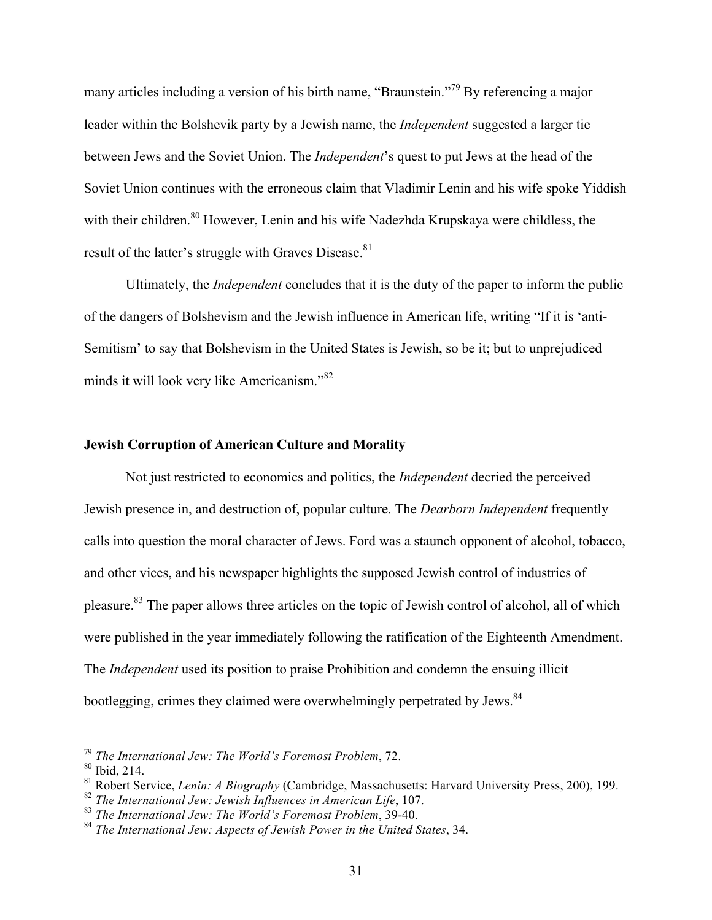many articles including a version of his birth name, "Braunstein."<sup>79</sup> By referencing a major leader within the Bolshevik party by a Jewish name, the *Independent* suggested a larger tie between Jews and the Soviet Union. The *Independent*'s quest to put Jews at the head of the Soviet Union continues with the erroneous claim that Vladimir Lenin and his wife spoke Yiddish with their children.<sup>80</sup> However, Lenin and his wife Nadezhda Krupskaya were childless, the result of the latter's struggle with Graves Disease.<sup>81</sup>

Ultimately, the *Independent* concludes that it is the duty of the paper to inform the public of the dangers of Bolshevism and the Jewish influence in American life, writing "If it is 'anti-Semitism' to say that Bolshevism in the United States is Jewish, so be it; but to unprejudiced minds it will look very like Americanism."<sup>82</sup>

#### **Jewish Corruption of American Culture and Morality**

Not just restricted to economics and politics, the *Independent* decried the perceived Jewish presence in, and destruction of, popular culture. The *Dearborn Independent* frequently calls into question the moral character of Jews. Ford was a staunch opponent of alcohol, tobacco, and other vices, and his newspaper highlights the supposed Jewish control of industries of pleasure.83 The paper allows three articles on the topic of Jewish control of alcohol, all of which were published in the year immediately following the ratification of the Eighteenth Amendment. The *Independent* used its position to praise Prohibition and condemn the ensuing illicit bootlegging, crimes they claimed were overwhelmingly perpetrated by Jews.<sup>84</sup>

 <sup>79</sup> *The International Jew: The World's Foremost Problem*, 72.

<sup>80</sup> Ibid, 214.

<sup>81</sup> Robert Service, *Lenin: A Biography* (Cambridge, Massachusetts: Harvard University Press, 200), 199.

<sup>82</sup> *The International Jew: Jewish Influences in American Life*, 107.

<sup>83</sup> *The International Jew: The World's Foremost Problem*, 39-40.

<sup>84</sup> *The International Jew: Aspects of Jewish Power in the United States*, 34.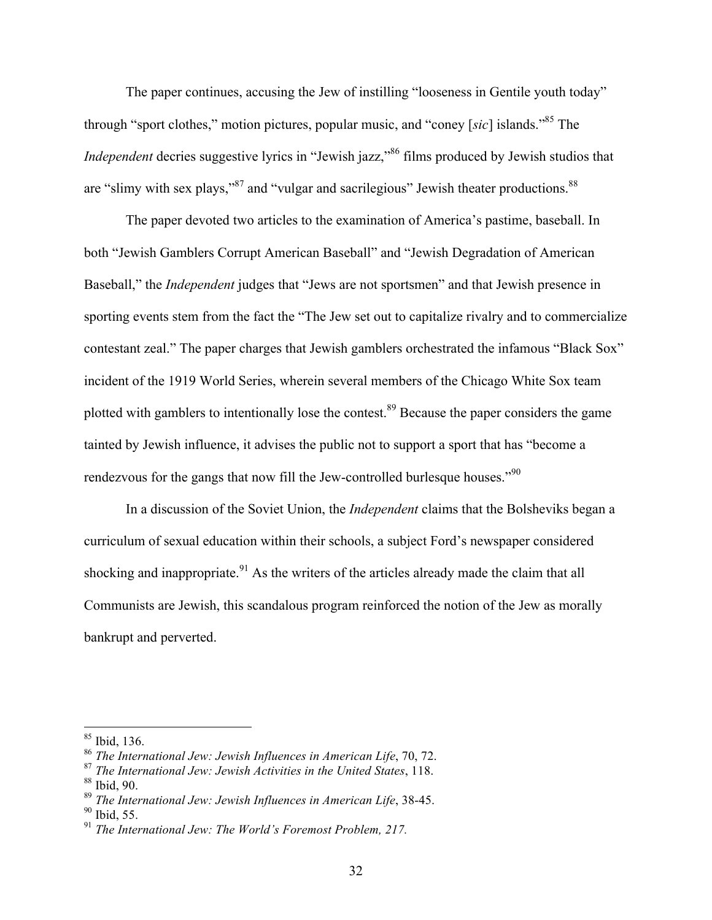The paper continues, accusing the Jew of instilling "looseness in Gentile youth today" through "sport clothes," motion pictures, popular music, and "coney [*sic*] islands."85 The *Independent* decries suggestive lyrics in "Jewish jazz,"<sup>86</sup> films produced by Jewish studios that are "slimy with sex plays,"<sup>87</sup> and "vulgar and sacrilegious" Jewish theater productions.<sup>88</sup>

The paper devoted two articles to the examination of America's pastime, baseball. In both "Jewish Gamblers Corrupt American Baseball" and "Jewish Degradation of American Baseball," the *Independent* judges that "Jews are not sportsmen" and that Jewish presence in sporting events stem from the fact the "The Jew set out to capitalize rivalry and to commercialize contestant zeal." The paper charges that Jewish gamblers orchestrated the infamous "Black Sox" incident of the 1919 World Series, wherein several members of the Chicago White Sox team plotted with gamblers to intentionally lose the contest.<sup>89</sup> Because the paper considers the game tainted by Jewish influence, it advises the public not to support a sport that has "become a rendezvous for the gangs that now fill the Jew-controlled burlesque houses."<sup>90</sup>

In a discussion of the Soviet Union, the *Independent* claims that the Bolsheviks began a curriculum of sexual education within their schools, a subject Ford's newspaper considered shocking and inappropriate.<sup>91</sup> As the writers of the articles already made the claim that all Communists are Jewish, this scandalous program reinforced the notion of the Jew as morally bankrupt and perverted.

 <sup>85</sup> Ibid, 136.

<sup>86</sup> *The International Jew: Jewish Influences in American Life*, 70, 72.

<sup>87</sup> *The International Jew: Jewish Activities in the United States*, 118.  $88$  Ibid, 90.

<sup>89</sup> *The International Jew: Jewish Influences in American Life*, 38-45.

 $90$  Ibid, 55.

<sup>91</sup> *The International Jew: The World's Foremost Problem, 217.*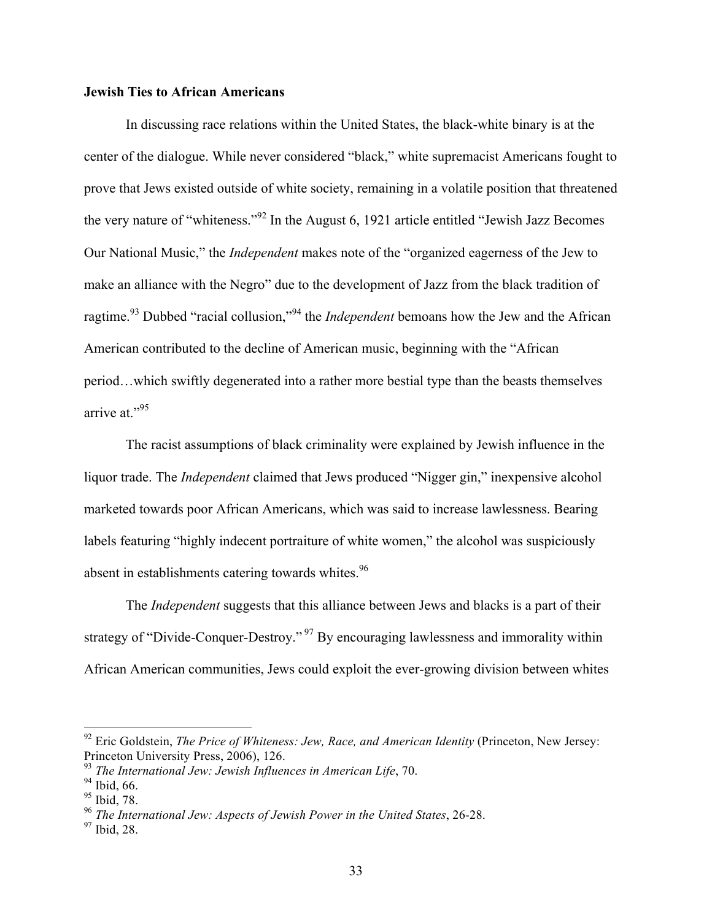# **Jewish Ties to African Americans**

In discussing race relations within the United States, the black-white binary is at the center of the dialogue. While never considered "black," white supremacist Americans fought to prove that Jews existed outside of white society, remaining in a volatile position that threatened the very nature of "whiteness."<sup>92</sup> In the August 6, 1921 article entitled "Jewish Jazz Becomes Our National Music," the *Independent* makes note of the "organized eagerness of the Jew to make an alliance with the Negro" due to the development of Jazz from the black tradition of ragtime.93 Dubbed "racial collusion,"<sup>94</sup> the *Independent* bemoans how the Jew and the African American contributed to the decline of American music, beginning with the "African period…which swiftly degenerated into a rather more bestial type than the beasts themselves arrive at."<sup>95</sup>

The racist assumptions of black criminality were explained by Jewish influence in the liquor trade. The *Independent* claimed that Jews produced "Nigger gin," inexpensive alcohol marketed towards poor African Americans, which was said to increase lawlessness. Bearing labels featuring "highly indecent portraiture of white women," the alcohol was suspiciously absent in establishments catering towards whites.<sup>96</sup>

The *Independent* suggests that this alliance between Jews and blacks is a part of their strategy of "Divide-Conquer-Destroy."<sup>97</sup> By encouraging lawlessness and immorality within African American communities, Jews could exploit the ever-growing division between whites

<sup>&</sup>lt;sup>92</sup> Eric Goldstein, *The Price of Whiteness: Jew, Race, and American Identity* (Princeton, New Jersey: Princeton University Press, 2006), 126.

<sup>93</sup> *The International Jew: Jewish Influences in American Life*, 70.

<sup>&</sup>lt;sup>94</sup> Ibid, 66.

<sup>95</sup> Ibid, 78.

<sup>96</sup> *The International Jew: Aspects of Jewish Power in the United States*, 26-28.

<sup>97</sup> Ibid, 28.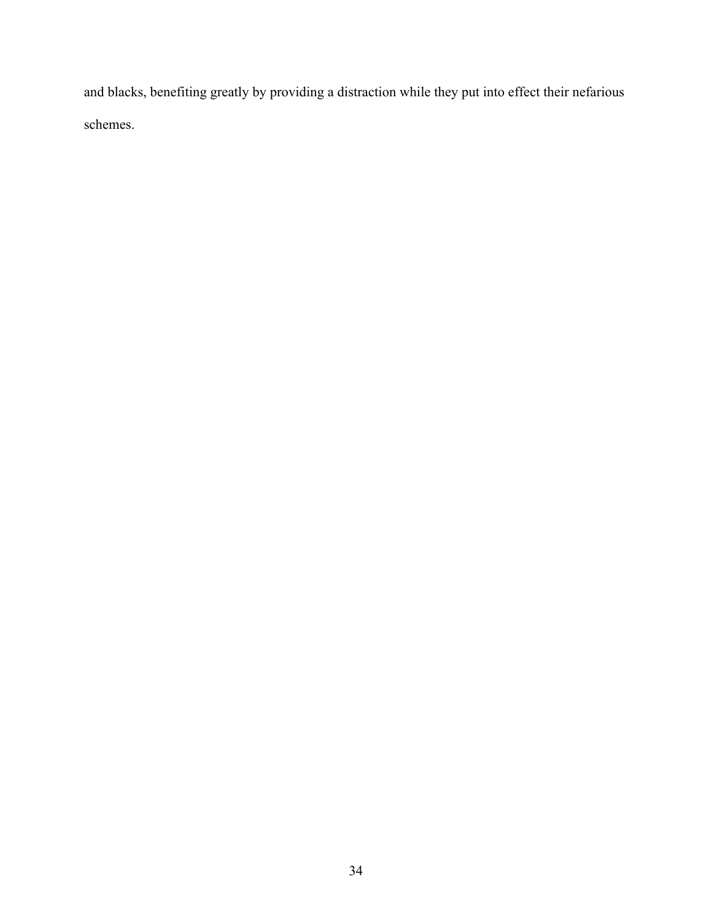and blacks, benefiting greatly by providing a distraction while they put into effect their nefarious schemes.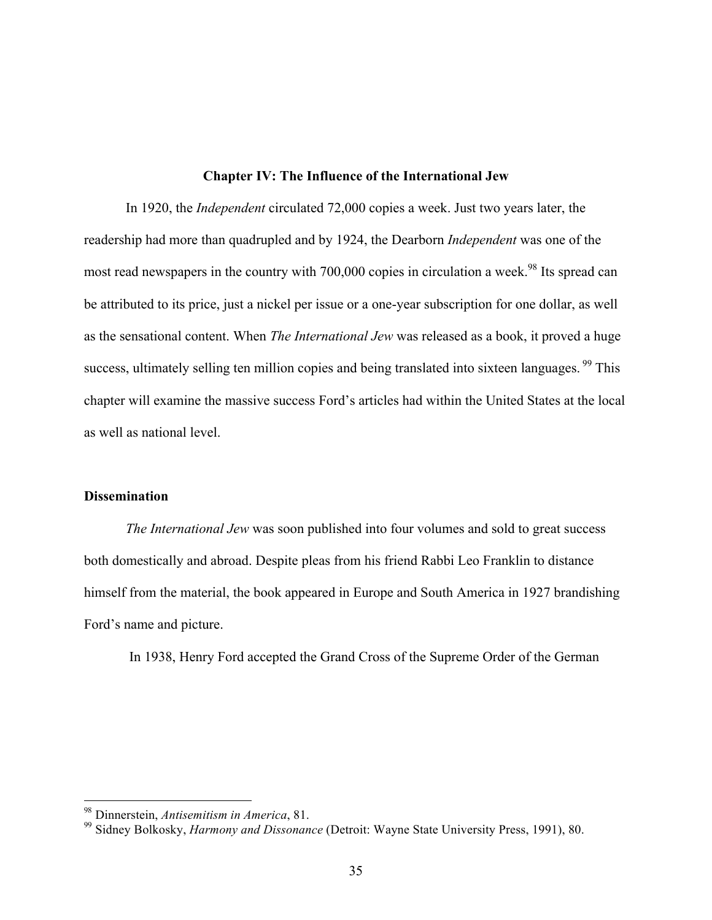# **Chapter IV: The Influence of the International Jew**

In 1920, the *Independent* circulated 72,000 copies a week. Just two years later, the readership had more than quadrupled and by 1924, the Dearborn *Independent* was one of the most read newspapers in the country with 700,000 copies in circulation a week.<sup>98</sup> Its spread can be attributed to its price, just a nickel per issue or a one-year subscription for one dollar, as well as the sensational content. When *The International Jew* was released as a book, it proved a huge success, ultimately selling ten million copies and being translated into sixteen languages. <sup>99</sup> This chapter will examine the massive success Ford's articles had within the United States at the local as well as national level.

# **Dissemination**

*The International Jew* was soon published into four volumes and sold to great success both domestically and abroad. Despite pleas from his friend Rabbi Leo Franklin to distance himself from the material, the book appeared in Europe and South America in 1927 brandishing Ford's name and picture.

In 1938, Henry Ford accepted the Grand Cross of the Supreme Order of the German

 <sup>98</sup> Dinnerstein, *Antisemitism in America*, 81.

<sup>99</sup> Sidney Bolkosky, *Harmony and Dissonance* (Detroit: Wayne State University Press, 1991), 80.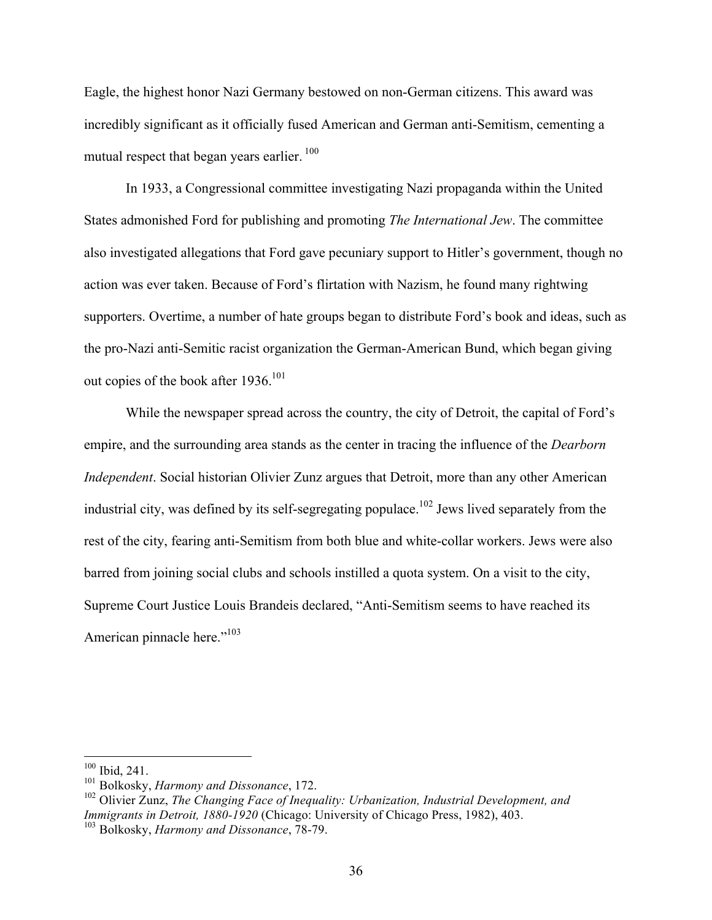Eagle, the highest honor Nazi Germany bestowed on non-German citizens. This award was incredibly significant as it officially fused American and German anti-Semitism, cementing a mutual respect that began years earlier.<sup>100</sup>

In 1933, a Congressional committee investigating Nazi propaganda within the United States admonished Ford for publishing and promoting *The International Jew*. The committee also investigated allegations that Ford gave pecuniary support to Hitler's government, though no action was ever taken. Because of Ford's flirtation with Nazism, he found many rightwing supporters. Overtime, a number of hate groups began to distribute Ford's book and ideas, such as the pro-Nazi anti-Semitic racist organization the German-American Bund, which began giving out copies of the book after 1936.<sup>101</sup>

While the newspaper spread across the country, the city of Detroit, the capital of Ford's empire, and the surrounding area stands as the center in tracing the influence of the *Dearborn Independent*. Social historian Olivier Zunz argues that Detroit, more than any other American industrial city, was defined by its self-segregating populace.<sup>102</sup> Jews lived separately from the rest of the city, fearing anti-Semitism from both blue and white-collar workers. Jews were also barred from joining social clubs and schools instilled a quota system. On a visit to the city, Supreme Court Justice Louis Brandeis declared, "Anti-Semitism seems to have reached its American pinnacle here."<sup>103</sup>

 <sup>100</sup> Ibid, 241.

<sup>101</sup> Bolkosky, *Harmony and Dissonance*, 172.

<sup>102</sup> Olivier Zunz, *The Changing Face of Inequality: Urbanization, Industrial Development, and Immigrants in Detroit, 1880-1920* (Chicago: University of Chicago Press, 1982), 403.

<sup>103</sup> Bolkosky, *Harmony and Dissonance*, 78-79.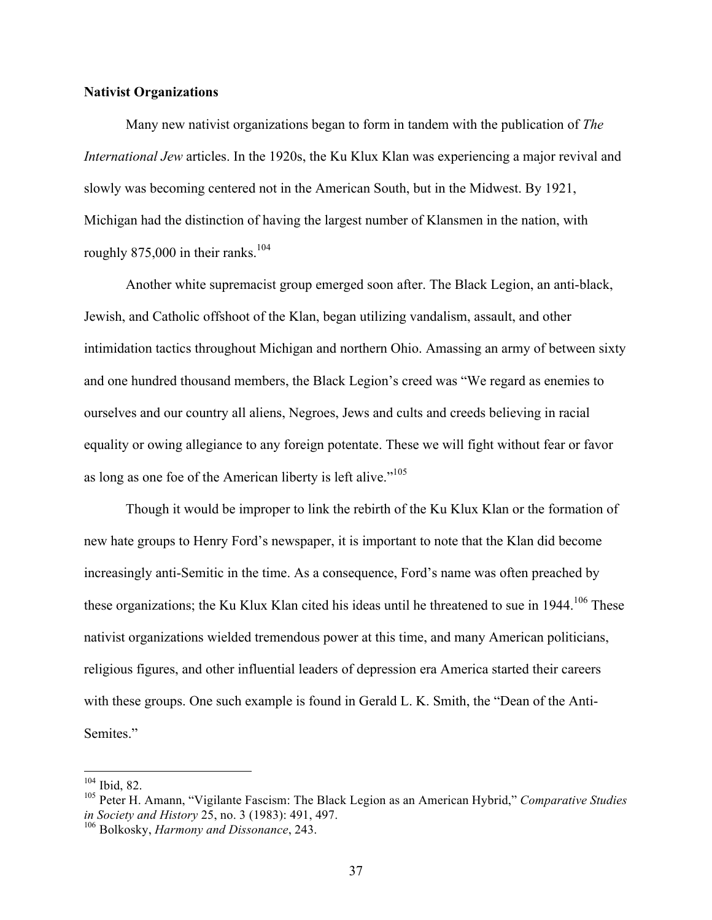# **Nativist Organizations**

Many new nativist organizations began to form in tandem with the publication of *The International Jew* articles. In the 1920s, the Ku Klux Klan was experiencing a major revival and slowly was becoming centered not in the American South, but in the Midwest. By 1921, Michigan had the distinction of having the largest number of Klansmen in the nation, with roughly  $875,000$  in their ranks.<sup>104</sup>

Another white supremacist group emerged soon after. The Black Legion, an anti-black, Jewish, and Catholic offshoot of the Klan, began utilizing vandalism, assault, and other intimidation tactics throughout Michigan and northern Ohio. Amassing an army of between sixty and one hundred thousand members, the Black Legion's creed was "We regard as enemies to ourselves and our country all aliens, Negroes, Jews and cults and creeds believing in racial equality or owing allegiance to any foreign potentate. These we will fight without fear or favor as long as one foe of the American liberty is left alive."<sup>105</sup>

Though it would be improper to link the rebirth of the Ku Klux Klan or the formation of new hate groups to Henry Ford's newspaper, it is important to note that the Klan did become increasingly anti-Semitic in the time. As a consequence, Ford's name was often preached by these organizations; the Ku Klux Klan cited his ideas until he threatened to sue in 1944.<sup>106</sup> These nativist organizations wielded tremendous power at this time, and many American politicians, religious figures, and other influential leaders of depression era America started their careers with these groups. One such example is found in Gerald L. K. Smith, the "Dean of the Anti-Semites."

 <sup>104</sup> Ibid, 82.

<sup>105</sup> Peter H. Amann, "Vigilante Fascism: The Black Legion as an American Hybrid," *Comparative Studies in Society and History* 25, no. 3 (1983): 491, 497.

<sup>106</sup> Bolkosky, *Harmony and Dissonance*, 243.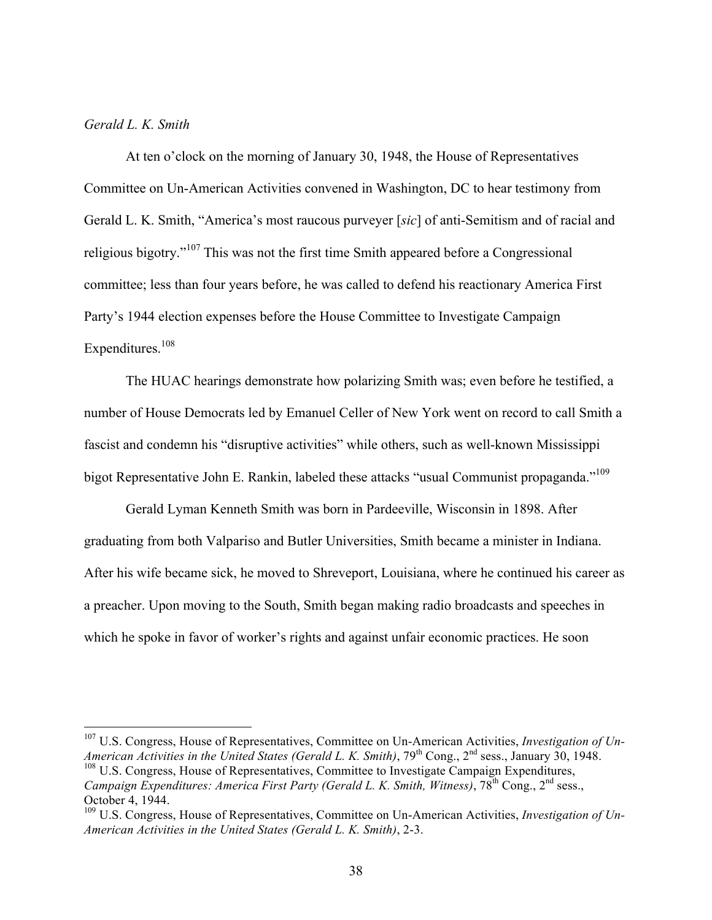# *Gerald L. K. Smith*

At ten o'clock on the morning of January 30, 1948, the House of Representatives Committee on Un-American Activities convened in Washington, DC to hear testimony from Gerald L. K. Smith, "America's most raucous purveyer [*sic*] of anti-Semitism and of racial and religious bigotry."<sup>107</sup> This was not the first time Smith appeared before a Congressional committee; less than four years before, he was called to defend his reactionary America First Party's 1944 election expenses before the House Committee to Investigate Campaign Expenditures.<sup>108</sup>

The HUAC hearings demonstrate how polarizing Smith was; even before he testified, a number of House Democrats led by Emanuel Celler of New York went on record to call Smith a fascist and condemn his "disruptive activities" while others, such as well-known Mississippi bigot Representative John E. Rankin, labeled these attacks "usual Communist propaganda."<sup>109</sup>

Gerald Lyman Kenneth Smith was born in Pardeeville, Wisconsin in 1898. After graduating from both Valpariso and Butler Universities, Smith became a minister in Indiana. After his wife became sick, he moved to Shreveport, Louisiana, where he continued his career as a preacher. Upon moving to the South, Smith began making radio broadcasts and speeches in which he spoke in favor of worker's rights and against unfair economic practices. He soon

 <sup>107</sup> U.S. Congress, House of Representatives, Committee on Un-American Activities, *Investigation of Un-American Activities in the United States (Gerald L. K. Smith)*, 79<sup>th</sup> Cong., 2<sup>nd</sup> sess., January 30, 1948. <sup>108</sup> U.S. Congress, House of Representatives, Committee to Investigate Campaign Expenditures, *Campaign Expenditures: America First Party (Gerald L. K. Smith, Witness)*, 78<sup>th</sup> Cong., 2<sup>nd</sup> sess., October 4, 1944.

<sup>109</sup> U.S. Congress, House of Representatives, Committee on Un-American Activities, *Investigation of Un-American Activities in the United States (Gerald L. K. Smith)*, 2-3.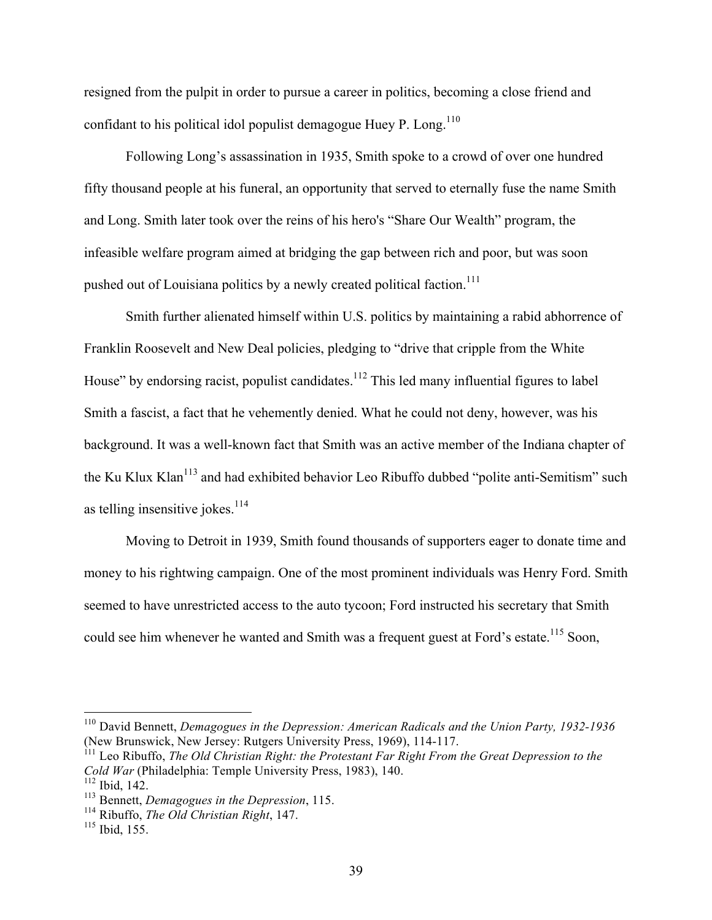resigned from the pulpit in order to pursue a career in politics, becoming a close friend and confidant to his political idol populist demagogue Huey P. Long.<sup>110</sup>

Following Long's assassination in 1935, Smith spoke to a crowd of over one hundred fifty thousand people at his funeral, an opportunity that served to eternally fuse the name Smith and Long. Smith later took over the reins of his hero's "Share Our Wealth" program, the infeasible welfare program aimed at bridging the gap between rich and poor, but was soon pushed out of Louisiana politics by a newly created political faction.<sup>111</sup>

Smith further alienated himself within U.S. politics by maintaining a rabid abhorrence of Franklin Roosevelt and New Deal policies, pledging to "drive that cripple from the White House" by endorsing racist, populist candidates.<sup>112</sup> This led many influential figures to label Smith a fascist, a fact that he vehemently denied. What he could not deny, however, was his background. It was a well-known fact that Smith was an active member of the Indiana chapter of the Ku Klux Klan<sup>113</sup> and had exhibited behavior Leo Ribuffo dubbed "polite anti-Semitism" such as telling insensitive jokes. $114$ 

Moving to Detroit in 1939, Smith found thousands of supporters eager to donate time and money to his rightwing campaign. One of the most prominent individuals was Henry Ford. Smith seemed to have unrestricted access to the auto tycoon; Ford instructed his secretary that Smith could see him whenever he wanted and Smith was a frequent guest at Ford's estate.<sup>115</sup> Soon,

 <sup>110</sup> David Bennett, *Demagogues in the Depression: American Radicals and the Union Party, 1932-1936* (New Brunswick, New Jersey: Rutgers University Press, 1969), 114-117.

<sup>111</sup> Leo Ribuffo, *The Old Christian Right: the Protestant Far Right From the Great Depression to the Cold War* (Philadelphia: Temple University Press, 1983), 140.

 $112$  Ibid, 142.

<sup>113</sup> Bennett, *Demagogues in the Depression*, 115.

<sup>114</sup> Ribuffo, *The Old Christian Right*, 147.

<sup>115</sup> Ibid, 155.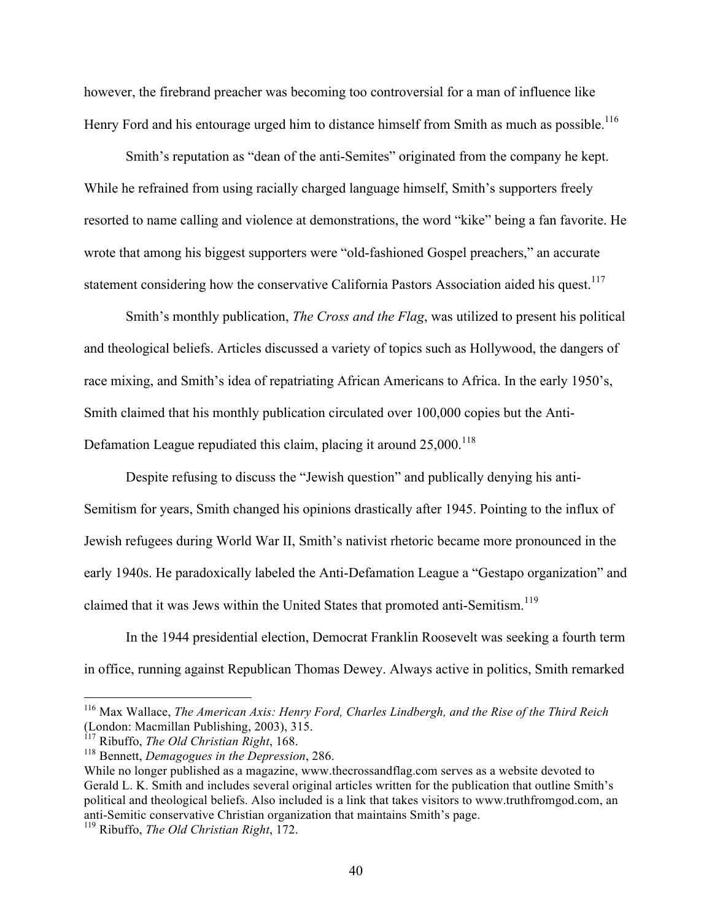however, the firebrand preacher was becoming too controversial for a man of influence like Henry Ford and his entourage urged him to distance himself from Smith as much as possible.<sup>116</sup>

Smith's reputation as "dean of the anti-Semites" originated from the company he kept. While he refrained from using racially charged language himself, Smith's supporters freely resorted to name calling and violence at demonstrations, the word "kike" being a fan favorite. He wrote that among his biggest supporters were "old-fashioned Gospel preachers," an accurate statement considering how the conservative California Pastors Association aided his quest.<sup>117</sup>

Smith's monthly publication, *The Cross and the Flag*, was utilized to present his political and theological beliefs. Articles discussed a variety of topics such as Hollywood, the dangers of race mixing, and Smith's idea of repatriating African Americans to Africa. In the early 1950's, Smith claimed that his monthly publication circulated over 100,000 copies but the Anti-Defamation League repudiated this claim, placing it around  $25,000$ ,  $^{118}$ 

Despite refusing to discuss the "Jewish question" and publically denying his anti-Semitism for years, Smith changed his opinions drastically after 1945. Pointing to the influx of Jewish refugees during World War II, Smith's nativist rhetoric became more pronounced in the early 1940s. He paradoxically labeled the Anti-Defamation League a "Gestapo organization" and claimed that it was Jews within the United States that promoted anti-Semitism.<sup>119</sup>

In the 1944 presidential election, Democrat Franklin Roosevelt was seeking a fourth term in office, running against Republican Thomas Dewey. Always active in politics, Smith remarked

 <sup>116</sup> Max Wallace, *The American Axis: Henry Ford, Charles Lindbergh, and the Rise of the Third Reich* (London: Macmillan Publishing, 2003), 315.

<sup>117</sup> Ribuffo, *The Old Christian Right*, 168.

<sup>118</sup> Bennett, *Demagogues in the Depression*, 286.

While no longer published as a magazine, www.thecrossandflag.com serves as a website devoted to Gerald L. K. Smith and includes several original articles written for the publication that outline Smith's political and theological beliefs. Also included is a link that takes visitors to www.truthfromgod.com, an anti-Semitic conservative Christian organization that maintains Smith's page.

<sup>119</sup> Ribuffo, *The Old Christian Right*, 172.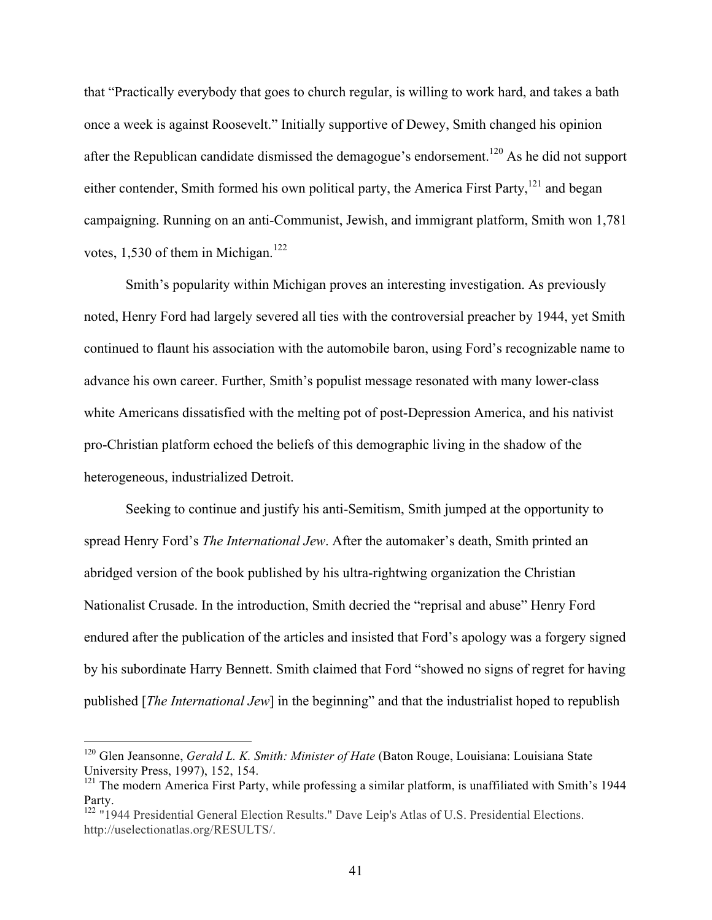that "Practically everybody that goes to church regular, is willing to work hard, and takes a bath once a week is against Roosevelt." Initially supportive of Dewey, Smith changed his opinion after the Republican candidate dismissed the demagogue's endorsement.120 As he did not support either contender, Smith formed his own political party, the America First Party, $121$  and began campaigning. Running on an anti-Communist, Jewish, and immigrant platform, Smith won 1,781 votes, 1,530 of them in Michigan.<sup>122</sup>

Smith's popularity within Michigan proves an interesting investigation. As previously noted, Henry Ford had largely severed all ties with the controversial preacher by 1944, yet Smith continued to flaunt his association with the automobile baron, using Ford's recognizable name to advance his own career. Further, Smith's populist message resonated with many lower-class white Americans dissatisfied with the melting pot of post-Depression America, and his nativist pro-Christian platform echoed the beliefs of this demographic living in the shadow of the heterogeneous, industrialized Detroit.

Seeking to continue and justify his anti-Semitism, Smith jumped at the opportunity to spread Henry Ford's *The International Jew*. After the automaker's death, Smith printed an abridged version of the book published by his ultra-rightwing organization the Christian Nationalist Crusade. In the introduction, Smith decried the "reprisal and abuse" Henry Ford endured after the publication of the articles and insisted that Ford's apology was a forgery signed by his subordinate Harry Bennett. Smith claimed that Ford "showed no signs of regret for having published [*The International Jew*] in the beginning" and that the industrialist hoped to republish

 <sup>120</sup> Glen Jeansonne, *Gerald L. K. Smith: Minister of Hate* (Baton Rouge, Louisiana: Louisiana State University Press, 1997), 152, 154.

 $121$  The modern America First Party, while professing a similar platform, is unaffiliated with Smith's 1944 Party.

<sup>&</sup>lt;sup>122</sup> "1944 Presidential General Election Results." Dave Leip's Atlas of U.S. Presidential Elections. http://uselectionatlas.org/RESULTS/.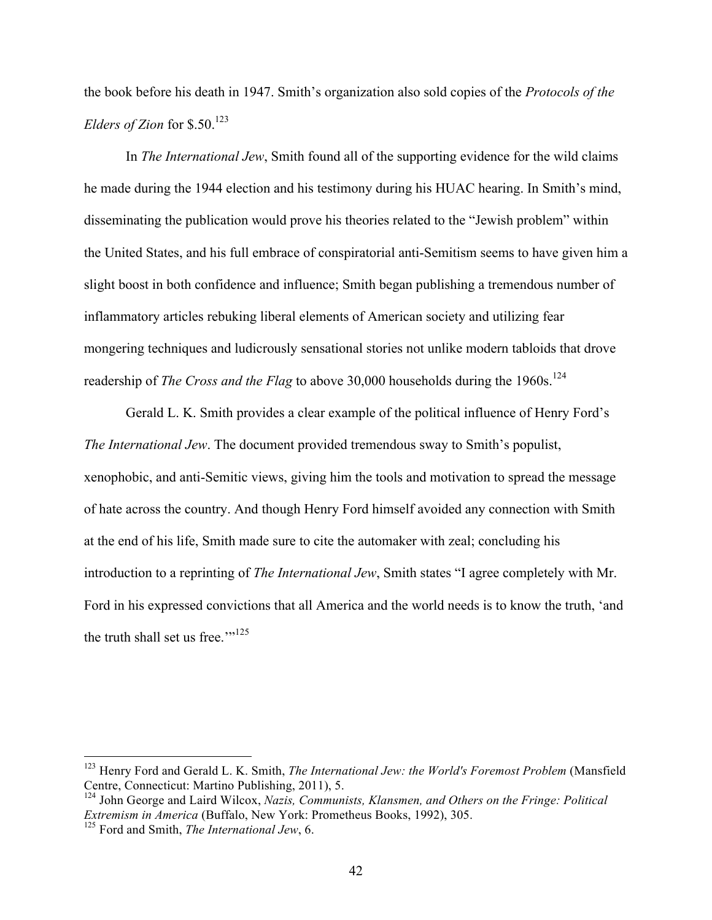the book before his death in 1947. Smith's organization also sold copies of the *Protocols of the Elders of Zion* for \$.50.<sup>123</sup>

In *The International Jew*, Smith found all of the supporting evidence for the wild claims he made during the 1944 election and his testimony during his HUAC hearing. In Smith's mind, disseminating the publication would prove his theories related to the "Jewish problem" within the United States, and his full embrace of conspiratorial anti-Semitism seems to have given him a slight boost in both confidence and influence; Smith began publishing a tremendous number of inflammatory articles rebuking liberal elements of American society and utilizing fear mongering techniques and ludicrously sensational stories not unlike modern tabloids that drove readership of *The Cross and the Flag* to above 30,000 households during the 1960s.<sup>124</sup>

Gerald L. K. Smith provides a clear example of the political influence of Henry Ford's *The International Jew*. The document provided tremendous sway to Smith's populist, xenophobic, and anti-Semitic views, giving him the tools and motivation to spread the message of hate across the country. And though Henry Ford himself avoided any connection with Smith at the end of his life, Smith made sure to cite the automaker with zeal; concluding his introduction to a reprinting of *The International Jew*, Smith states "I agree completely with Mr. Ford in his expressed convictions that all America and the world needs is to know the truth, 'and the truth shall set us free."<sup>125</sup>

 <sup>123</sup> Henry Ford and Gerald L. K. Smith, *The International Jew: the World's Foremost Problem* (Mansfield Centre, Connecticut: Martino Publishing, 2011), 5.

<sup>124</sup> John George and Laird Wilcox, *Nazis, Communists, Klansmen, and Others on the Fringe: Political Extremism in America* (Buffalo, New York: Prometheus Books, 1992), 305.

<sup>125</sup> Ford and Smith, *The International Jew*, 6.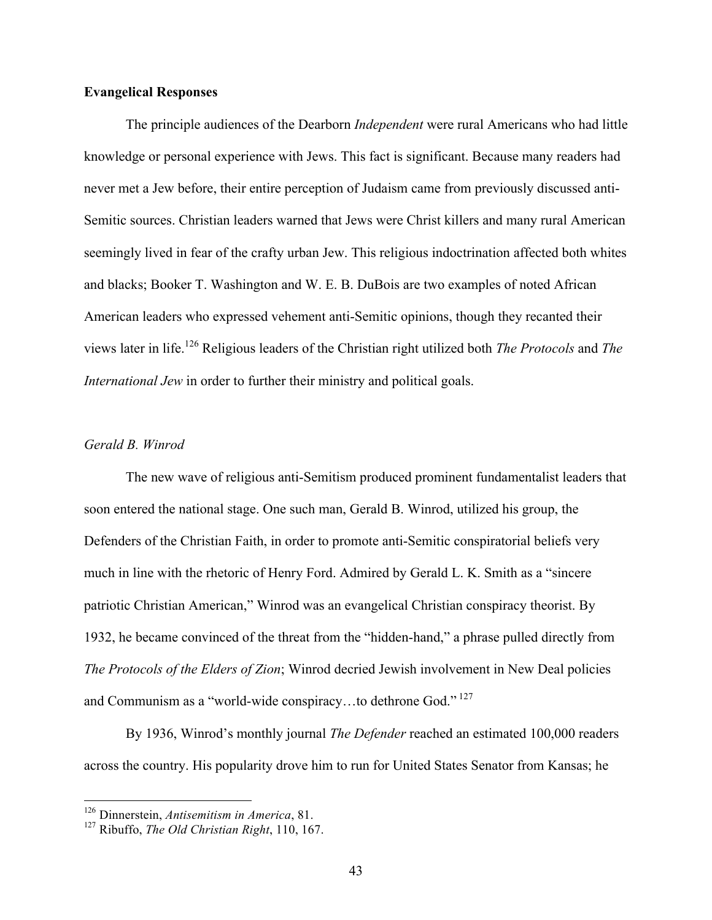# **Evangelical Responses**

The principle audiences of the Dearborn *Independent* were rural Americans who had little knowledge or personal experience with Jews. This fact is significant. Because many readers had never met a Jew before, their entire perception of Judaism came from previously discussed anti-Semitic sources. Christian leaders warned that Jews were Christ killers and many rural American seemingly lived in fear of the crafty urban Jew. This religious indoctrination affected both whites and blacks; Booker T. Washington and W. E. B. DuBois are two examples of noted African American leaders who expressed vehement anti-Semitic opinions, though they recanted their views later in life.<sup>126</sup> Religious leaders of the Christian right utilized both *The Protocols* and *The International Jew* in order to further their ministry and political goals.

# *Gerald B. Winrod*

The new wave of religious anti-Semitism produced prominent fundamentalist leaders that soon entered the national stage. One such man, Gerald B. Winrod, utilized his group, the Defenders of the Christian Faith, in order to promote anti-Semitic conspiratorial beliefs very much in line with the rhetoric of Henry Ford. Admired by Gerald L. K. Smith as a "sincere patriotic Christian American," Winrod was an evangelical Christian conspiracy theorist. By 1932, he became convinced of the threat from the "hidden-hand," a phrase pulled directly from *The Protocols of the Elders of Zion*; Winrod decried Jewish involvement in New Deal policies and Communism as a "world-wide conspiracy...to dethrone God."<sup>127</sup>

By 1936, Winrod's monthly journal *The Defender* reached an estimated 100,000 readers across the country. His popularity drove him to run for United States Senator from Kansas; he

 <sup>126</sup> Dinnerstein, *Antisemitism in America*, 81.

<sup>127</sup> Ribuffo, *The Old Christian Right*, 110, 167.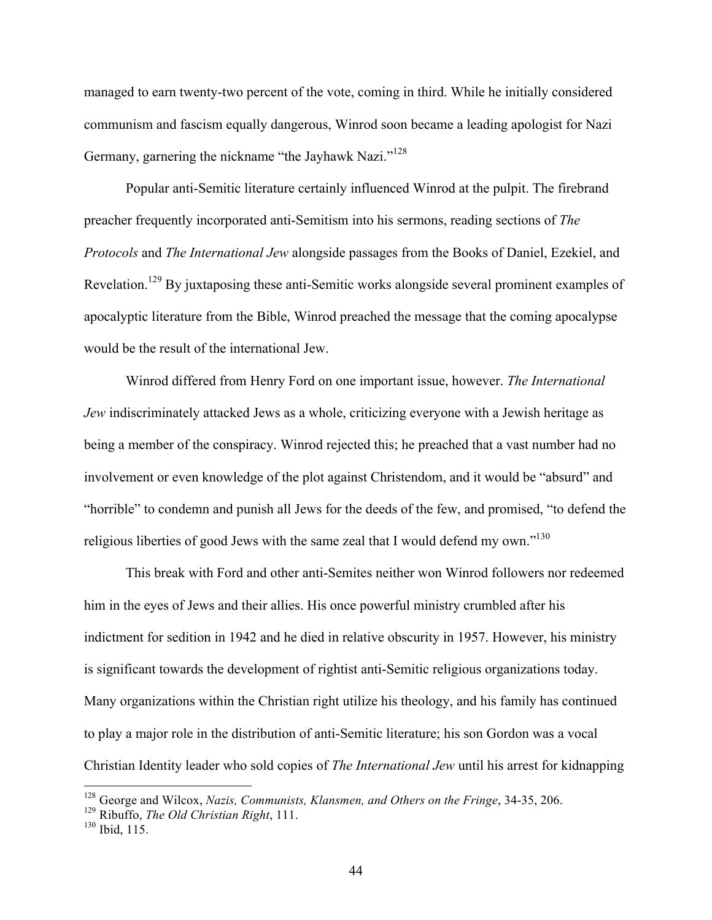managed to earn twenty-two percent of the vote, coming in third. While he initially considered communism and fascism equally dangerous, Winrod soon became a leading apologist for Nazi Germany, garnering the nickname "the Jayhawk Nazi."<sup>128</sup>

Popular anti-Semitic literature certainly influenced Winrod at the pulpit. The firebrand preacher frequently incorporated anti-Semitism into his sermons, reading sections of *The Protocols* and *The International Jew* alongside passages from the Books of Daniel, Ezekiel, and Revelation.129 By juxtaposing these anti-Semitic works alongside several prominent examples of apocalyptic literature from the Bible, Winrod preached the message that the coming apocalypse would be the result of the international Jew.

Winrod differed from Henry Ford on one important issue, however. *The International Jew* indiscriminately attacked Jews as a whole, criticizing everyone with a Jewish heritage as being a member of the conspiracy. Winrod rejected this; he preached that a vast number had no involvement or even knowledge of the plot against Christendom, and it would be "absurd" and "horrible" to condemn and punish all Jews for the deeds of the few, and promised, "to defend the religious liberties of good Jews with the same zeal that I would defend my own."<sup>130</sup>

This break with Ford and other anti-Semites neither won Winrod followers nor redeemed him in the eyes of Jews and their allies. His once powerful ministry crumbled after his indictment for sedition in 1942 and he died in relative obscurity in 1957. However, his ministry is significant towards the development of rightist anti-Semitic religious organizations today. Many organizations within the Christian right utilize his theology, and his family has continued to play a major role in the distribution of anti-Semitic literature; his son Gordon was a vocal Christian Identity leader who sold copies of *The International Jew* until his arrest for kidnapping

 <sup>128</sup> George and Wilcox, *Nazis, Communists, Klansmen, and Others on the Fringe*, 34-35, 206.

<sup>129</sup> Ribuffo, *The Old Christian Right*, 111.

<sup>130</sup> Ibid, 115.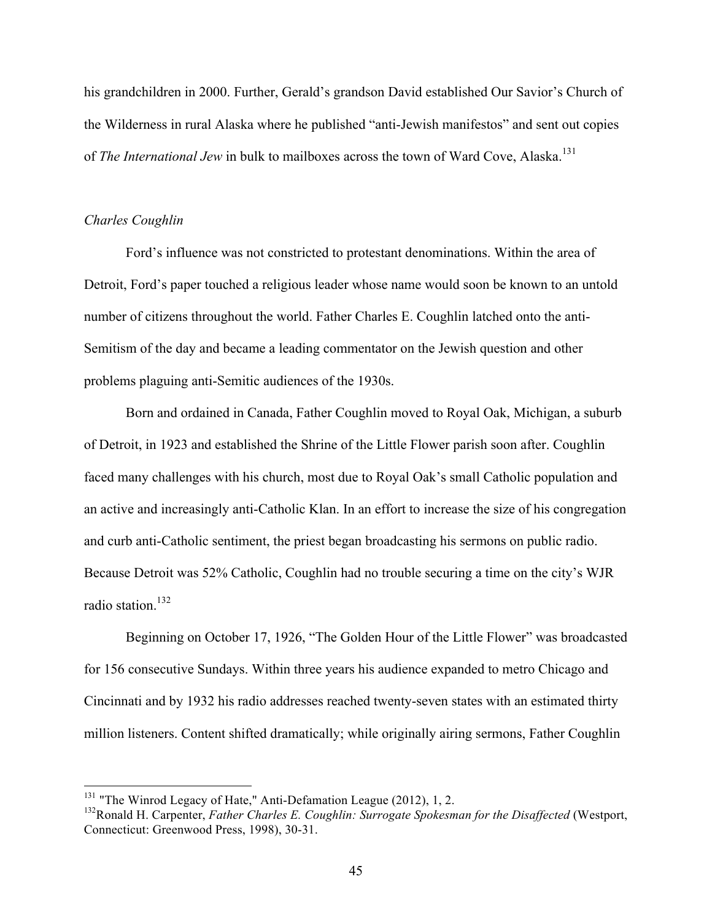his grandchildren in 2000. Further, Gerald's grandson David established Our Savior's Church of the Wilderness in rural Alaska where he published "anti-Jewish manifestos" and sent out copies of *The International Jew* in bulk to mailboxes across the town of Ward Cove, Alaska.<sup>131</sup>

# *Charles Coughlin*

Ford's influence was not constricted to protestant denominations. Within the area of Detroit, Ford's paper touched a religious leader whose name would soon be known to an untold number of citizens throughout the world. Father Charles E. Coughlin latched onto the anti-Semitism of the day and became a leading commentator on the Jewish question and other problems plaguing anti-Semitic audiences of the 1930s.

Born and ordained in Canada, Father Coughlin moved to Royal Oak, Michigan, a suburb of Detroit, in 1923 and established the Shrine of the Little Flower parish soon after. Coughlin faced many challenges with his church, most due to Royal Oak's small Catholic population and an active and increasingly anti-Catholic Klan. In an effort to increase the size of his congregation and curb anti-Catholic sentiment, the priest began broadcasting his sermons on public radio. Because Detroit was 52% Catholic, Coughlin had no trouble securing a time on the city's WJR radio station.<sup>132</sup>

Beginning on October 17, 1926, "The Golden Hour of the Little Flower" was broadcasted for 156 consecutive Sundays. Within three years his audience expanded to metro Chicago and Cincinnati and by 1932 his radio addresses reached twenty-seven states with an estimated thirty million listeners. Content shifted dramatically; while originally airing sermons, Father Coughlin

<sup>&</sup>lt;sup>131</sup> "The Winrod Legacy of Hate," Anti-Defamation League (2012), 1, 2.

<sup>132</sup>Ronald H. Carpenter, *Father Charles E. Coughlin: Surrogate Spokesman for the Disaffected* (Westport, Connecticut: Greenwood Press, 1998), 30-31.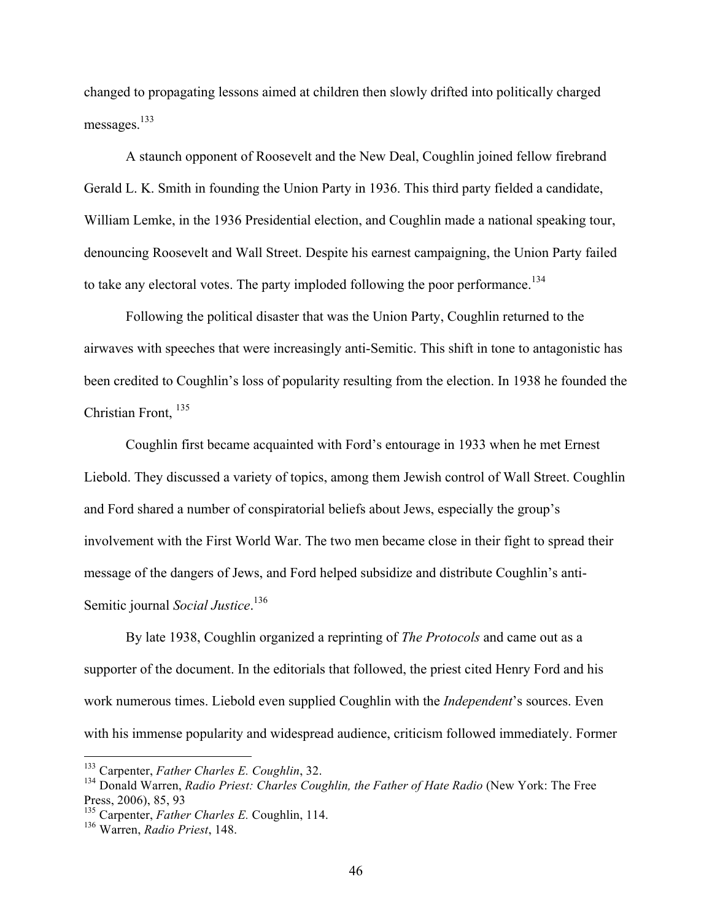changed to propagating lessons aimed at children then slowly drifted into politically charged messages.<sup>133</sup>

A staunch opponent of Roosevelt and the New Deal, Coughlin joined fellow firebrand Gerald L. K. Smith in founding the Union Party in 1936. This third party fielded a candidate, William Lemke, in the 1936 Presidential election, and Coughlin made a national speaking tour, denouncing Roosevelt and Wall Street. Despite his earnest campaigning, the Union Party failed to take any electoral votes. The party imploded following the poor performance.<sup>134</sup>

Following the political disaster that was the Union Party, Coughlin returned to the airwaves with speeches that were increasingly anti-Semitic. This shift in tone to antagonistic has been credited to Coughlin's loss of popularity resulting from the election. In 1938 he founded the Christian Front, 135

Coughlin first became acquainted with Ford's entourage in 1933 when he met Ernest Liebold. They discussed a variety of topics, among them Jewish control of Wall Street. Coughlin and Ford shared a number of conspiratorial beliefs about Jews, especially the group's involvement with the First World War. The two men became close in their fight to spread their message of the dangers of Jews, and Ford helped subsidize and distribute Coughlin's anti-Semitic journal *Social Justice*. 136

By late 1938, Coughlin organized a reprinting of *The Protocols* and came out as a supporter of the document. In the editorials that followed, the priest cited Henry Ford and his work numerous times. Liebold even supplied Coughlin with the *Independent*'s sources. Even with his immense popularity and widespread audience, criticism followed immediately. Former

 <sup>133</sup> Carpenter, *Father Charles E. Coughlin*, 32.

<sup>&</sup>lt;sup>134</sup> Donald Warren, *Radio Priest: Charles Coughlin, the Father of Hate Radio* (New York: The Free Press, 2006), 85, 93

<sup>135</sup> Carpenter, *Father Charles E.* Coughlin, 114.

<sup>136</sup> Warren, *Radio Priest*, 148.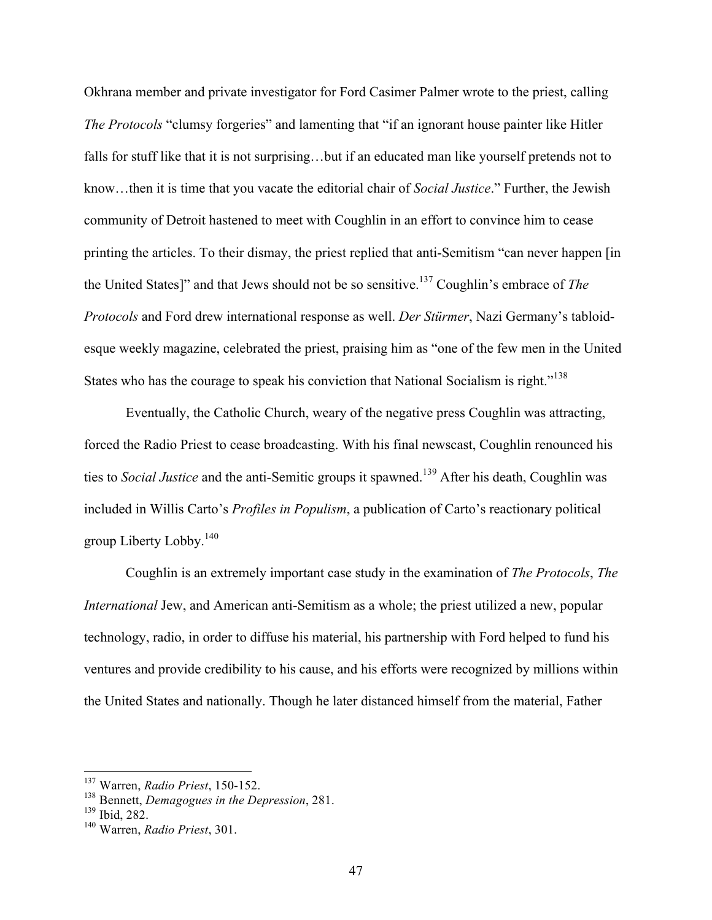Okhrana member and private investigator for Ford Casimer Palmer wrote to the priest, calling *The Protocols* "clumsy forgeries" and lamenting that "if an ignorant house painter like Hitler falls for stuff like that it is not surprising…but if an educated man like yourself pretends not to know…then it is time that you vacate the editorial chair of *Social Justice*." Further, the Jewish community of Detroit hastened to meet with Coughlin in an effort to convince him to cease printing the articles. To their dismay, the priest replied that anti-Semitism "can never happen [in the United States]" and that Jews should not be so sensitive.137 Coughlin's embrace of *The Protocols* and Ford drew international response as well. *Der Stürmer*, Nazi Germany's tabloidesque weekly magazine, celebrated the priest, praising him as "one of the few men in the United States who has the courage to speak his conviction that National Socialism is right."<sup>138</sup>

Eventually, the Catholic Church, weary of the negative press Coughlin was attracting, forced the Radio Priest to cease broadcasting. With his final newscast, Coughlin renounced his ties to *Social Justice* and the anti-Semitic groups it spawned.<sup>139</sup> After his death, Coughlin was included in Willis Carto's *Profiles in Populism*, a publication of Carto's reactionary political group Liberty Lobby. $140$ 

Coughlin is an extremely important case study in the examination of *The Protocols*, *The International Jew, and American anti-Semitism as a whole; the priest utilized a new, popular* technology, radio, in order to diffuse his material, his partnership with Ford helped to fund his ventures and provide credibility to his cause, and his efforts were recognized by millions within the United States and nationally. Though he later distanced himself from the material, Father

 <sup>137</sup> Warren, *Radio Priest*, 150-152.

<sup>138</sup> Bennett, *Demagogues in the Depression*, 281.

<sup>139</sup> Ibid, 282.

<sup>140</sup> Warren, *Radio Priest*, 301.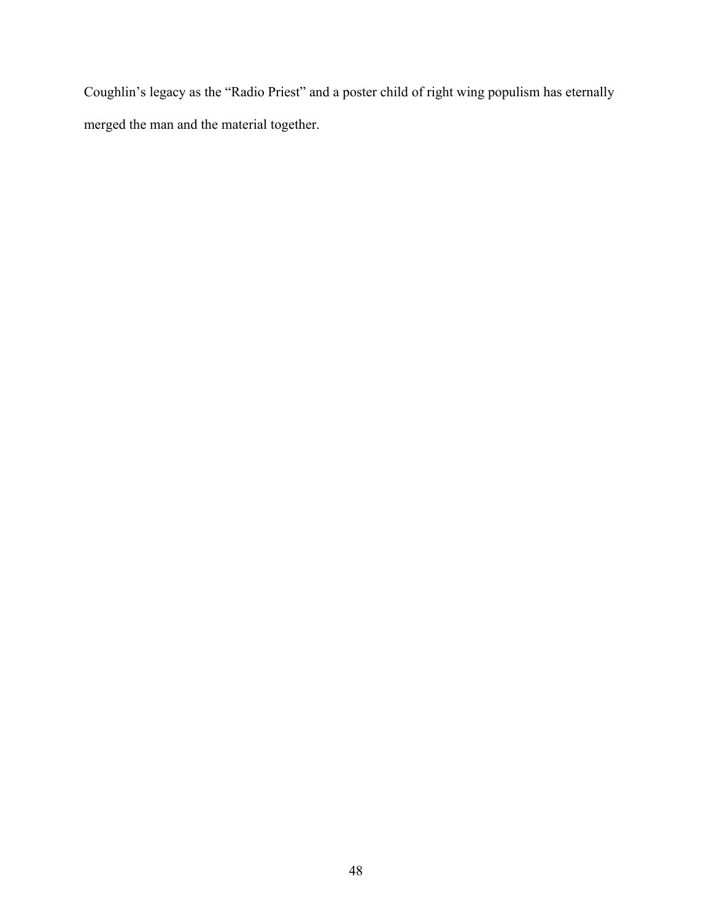Coughlin's legacy as the "Radio Priest" and a poster child of right wing populism has eternally merged the man and the material together.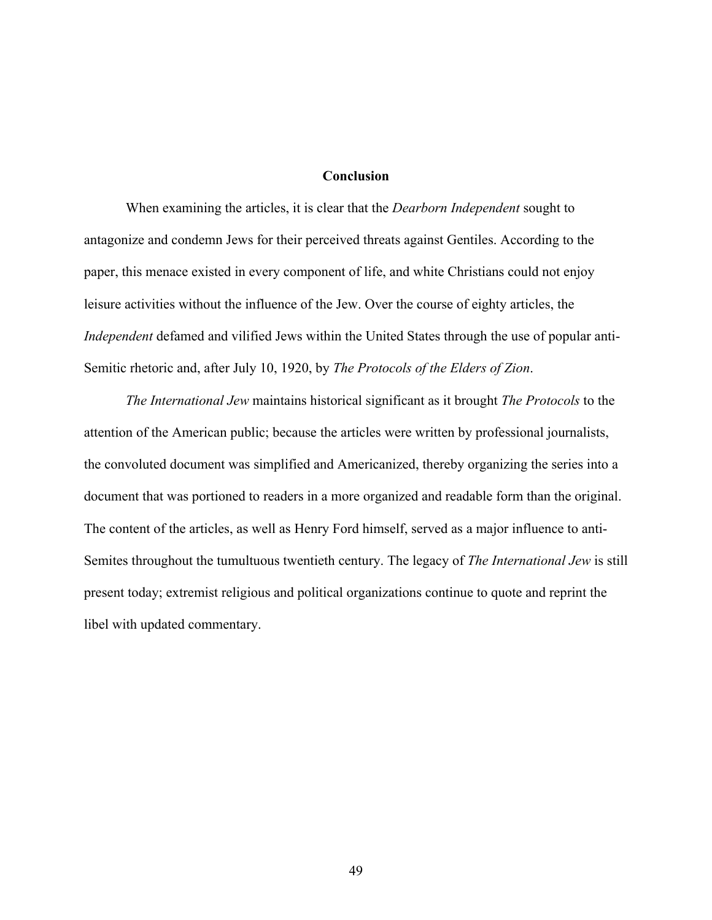# **Conclusion**

When examining the articles, it is clear that the *Dearborn Independent* sought to antagonize and condemn Jews for their perceived threats against Gentiles. According to the paper, this menace existed in every component of life, and white Christians could not enjoy leisure activities without the influence of the Jew. Over the course of eighty articles, the *Independent* defamed and vilified Jews within the United States through the use of popular anti-Semitic rhetoric and, after July 10, 1920, by *The Protocols of the Elders of Zion*.

*The International Jew* maintains historical significant as it brought *The Protocols* to the attention of the American public; because the articles were written by professional journalists, the convoluted document was simplified and Americanized, thereby organizing the series into a document that was portioned to readers in a more organized and readable form than the original. The content of the articles, as well as Henry Ford himself, served as a major influence to anti-Semites throughout the tumultuous twentieth century. The legacy of *The International Jew* is still present today; extremist religious and political organizations continue to quote and reprint the libel with updated commentary.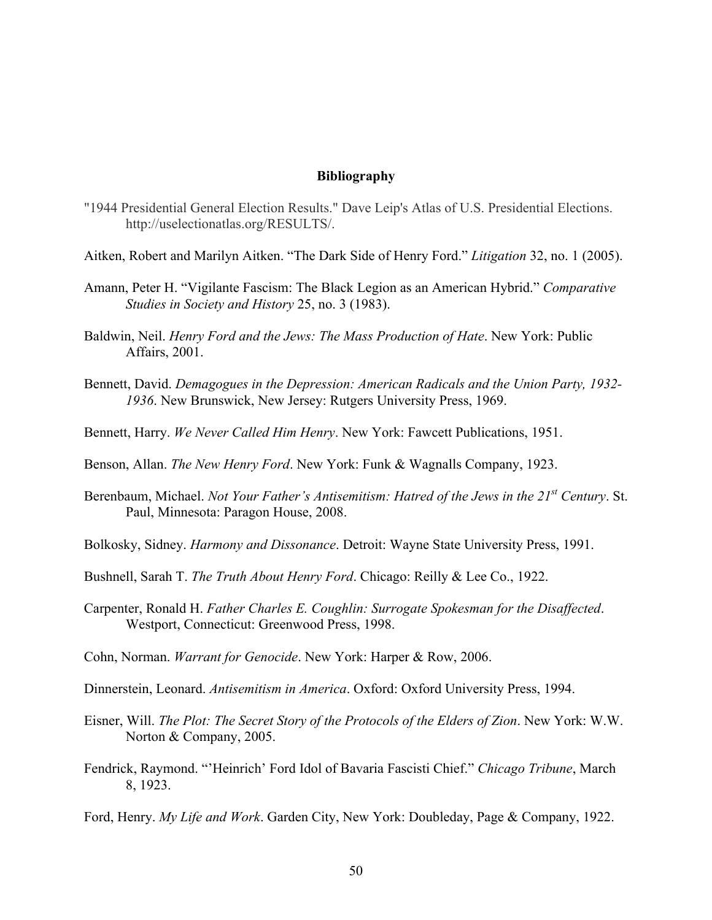# **Bibliography**

- "1944 Presidential General Election Results." Dave Leip's Atlas of U.S. Presidential Elections. http://uselectionatlas.org/RESULTS/.
- Aitken, Robert and Marilyn Aitken. "The Dark Side of Henry Ford." *Litigation* 32, no. 1 (2005).
- Amann, Peter H. "Vigilante Fascism: The Black Legion as an American Hybrid." *Comparative Studies in Society and History* 25, no. 3 (1983).
- Baldwin, Neil. *Henry Ford and the Jews: The Mass Production of Hate*. New York: Public Affairs, 2001.
- Bennett, David. *Demagogues in the Depression: American Radicals and the Union Party, 1932- 1936*. New Brunswick, New Jersey: Rutgers University Press, 1969.
- Bennett, Harry. *We Never Called Him Henry*. New York: Fawcett Publications, 1951.
- Benson, Allan. *The New Henry Ford*. New York: Funk & Wagnalls Company, 1923.
- Berenbaum, Michael. *Not Your Father's Antisemitism: Hatred of the Jews in the 21st Century*. St. Paul, Minnesota: Paragon House, 2008.
- Bolkosky, Sidney. *Harmony and Dissonance*. Detroit: Wayne State University Press, 1991.
- Bushnell, Sarah T. *The Truth About Henry Ford*. Chicago: Reilly & Lee Co., 1922.
- Carpenter, Ronald H. *Father Charles E. Coughlin: Surrogate Spokesman for the Disaffected*. Westport, Connecticut: Greenwood Press, 1998.
- Cohn, Norman. *Warrant for Genocide*. New York: Harper & Row, 2006.
- Dinnerstein, Leonard. *Antisemitism in America*. Oxford: Oxford University Press, 1994.
- Eisner, Will. *The Plot: The Secret Story of the Protocols of the Elders of Zion*. New York: W.W. Norton & Company, 2005.
- Fendrick, Raymond. "'Heinrich' Ford Idol of Bavaria Fascisti Chief." *Chicago Tribune*, March 8, 1923.
- Ford, Henry. *My Life and Work*. Garden City, New York: Doubleday, Page & Company, 1922.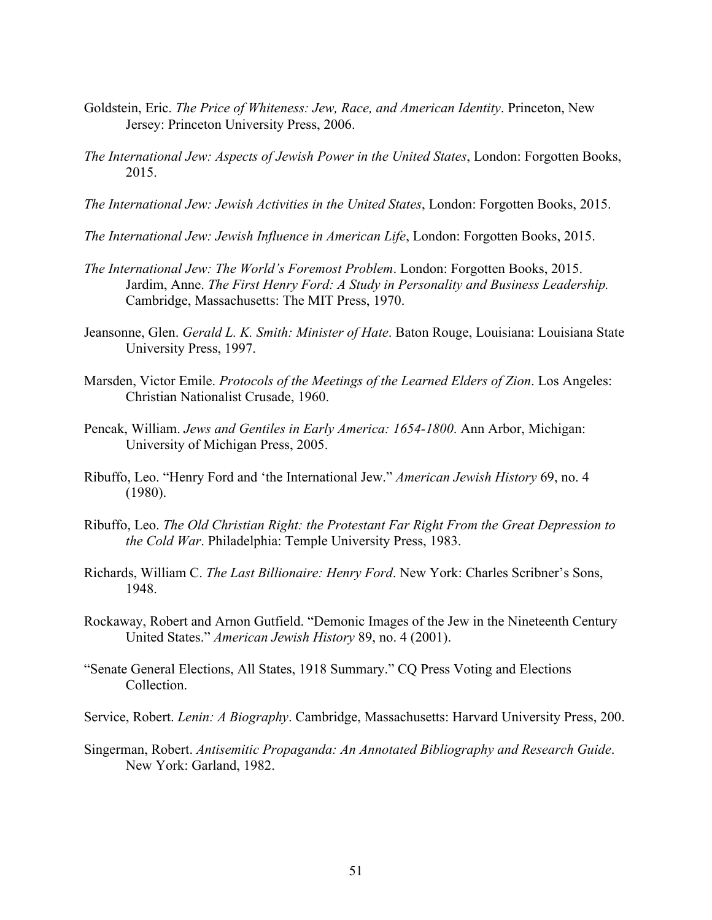- Goldstein, Eric. *The Price of Whiteness: Jew, Race, and American Identity*. Princeton, New Jersey: Princeton University Press, 2006.
- *The International Jew: Aspects of Jewish Power in the United States*, London: Forgotten Books, 2015.
- *The International Jew: Jewish Activities in the United States*, London: Forgotten Books, 2015.
- *The International Jew: Jewish Influence in American Life*, London: Forgotten Books, 2015.
- *The International Jew: The World's Foremost Problem*. London: Forgotten Books, 2015. Jardim, Anne. *The First Henry Ford: A Study in Personality and Business Leadership.*  Cambridge, Massachusetts: The MIT Press, 1970.
- Jeansonne, Glen. *Gerald L. K. Smith: Minister of Hate*. Baton Rouge, Louisiana: Louisiana State University Press, 1997.
- Marsden, Victor Emile. *Protocols of the Meetings of the Learned Elders of Zion*. Los Angeles: Christian Nationalist Crusade, 1960.
- Pencak, William. *Jews and Gentiles in Early America: 1654-1800*. Ann Arbor, Michigan: University of Michigan Press, 2005.
- Ribuffo, Leo. "Henry Ford and 'the International Jew." *American Jewish History* 69, no. 4 (1980).
- Ribuffo, Leo. *The Old Christian Right: the Protestant Far Right From the Great Depression to the Cold War*. Philadelphia: Temple University Press, 1983.
- Richards, William C. *The Last Billionaire: Henry Ford*. New York: Charles Scribner's Sons, 1948.
- Rockaway, Robert and Arnon Gutfield. "Demonic Images of the Jew in the Nineteenth Century United States." *American Jewish History* 89, no. 4 (2001).
- "Senate General Elections, All States, 1918 Summary." CQ Press Voting and Elections Collection.
- Service, Robert. *Lenin: A Biography*. Cambridge, Massachusetts: Harvard University Press, 200.
- Singerman, Robert. *Antisemitic Propaganda: An Annotated Bibliography and Research Guide*. New York: Garland, 1982.